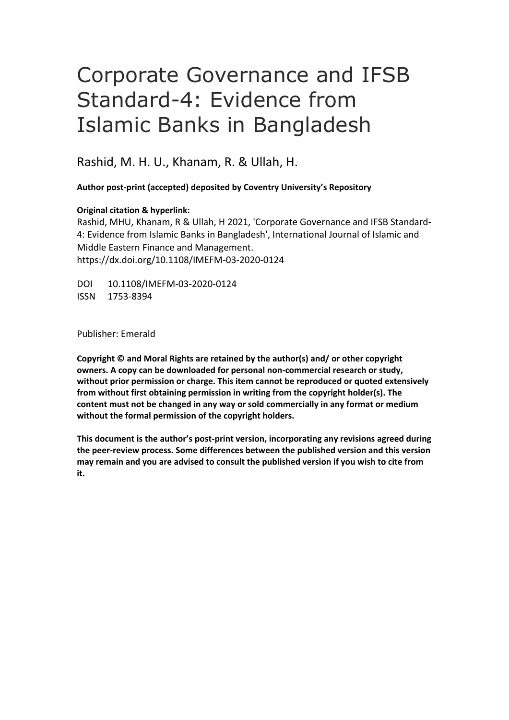# Corporate Governance and IFSB Standard-4: Evidence from Islamic Banks in Bangladesh

Rashid, M. H. U., Khanam, R. & Ullah, H.

**Author post-print (accepted) deposited by Coventry University's Repository**

#### **Original citation & hyperlink:**

Rashid, MHU, Khanam, R & Ullah, H 2021, 'Corporate Governance and IFSB Standard-4: Evidence from Islamic Banks in Bangladesh', International Journal of Islamic and Middle Eastern Finance and Management. https://dx.doi.org/10.1108/IMEFM-03-2020-0124

DOI 10.1108/IMEFM-03-2020-0124 ISSN 1753-8394

Publisher: Emerald

**Copyright © and Moral Rights are retained by the author(s) and/ or other copyright owners. A copy can be downloaded for personal non-commercial research or study, without prior permission or charge. This item cannot be reproduced or quoted extensively from without first obtaining permission in writing from the copyright holder(s). The content must not be changed in any way or sold commercially in any format or medium without the formal permission of the copyright holders.** 

**This document is the author's post-print version, incorporating any revisions agreed during the peer-review process. Some differences between the published version and this version may remain and you are advised to consult the published version if you wish to cite from it.**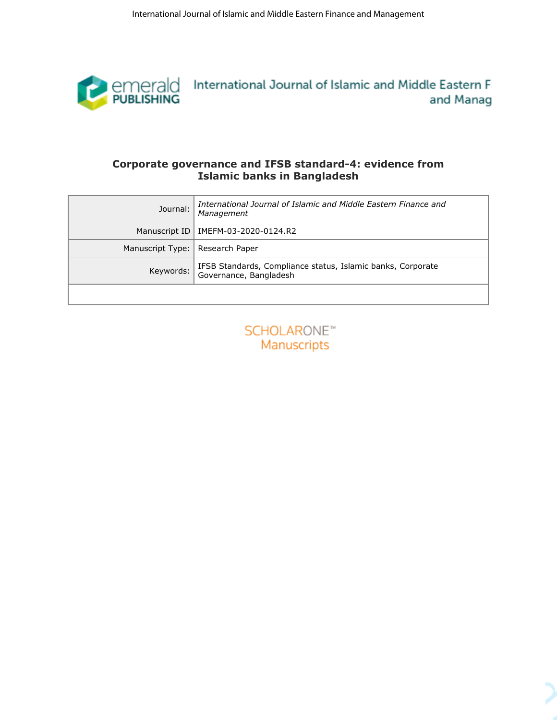

### **Corporate governance and IFSB standard-4: evidence from Islamic banks in Bangladesh**

| emerald International Journal of Islamic and Middle Eastern Fi<br>PUBLISHING<br>and Manag<br>Corporate governance and IFSB standard-4: evidence from<br><b>Islamic banks in Bangladesh</b><br>International Journal of Islamic and Middle Eastern Finance and<br>Journal:<br>Management<br>Manuscript ID<br>IMEFM-03-2020-0124.R2<br>Manuscript Type: Research Paper<br>IFSB Standards, Compliance status, Islamic banks, Corporate<br>Governance, Bangladesh<br>Keywords:<br><b>SCHOLARONE™</b><br>Manuscripts | International Journal of Islamic and Middle Eastern Finance and Management |
|-----------------------------------------------------------------------------------------------------------------------------------------------------------------------------------------------------------------------------------------------------------------------------------------------------------------------------------------------------------------------------------------------------------------------------------------------------------------------------------------------------------------|----------------------------------------------------------------------------|
|                                                                                                                                                                                                                                                                                                                                                                                                                                                                                                                 |                                                                            |
|                                                                                                                                                                                                                                                                                                                                                                                                                                                                                                                 |                                                                            |
|                                                                                                                                                                                                                                                                                                                                                                                                                                                                                                                 |                                                                            |
|                                                                                                                                                                                                                                                                                                                                                                                                                                                                                                                 |                                                                            |
|                                                                                                                                                                                                                                                                                                                                                                                                                                                                                                                 |                                                                            |
|                                                                                                                                                                                                                                                                                                                                                                                                                                                                                                                 |                                                                            |

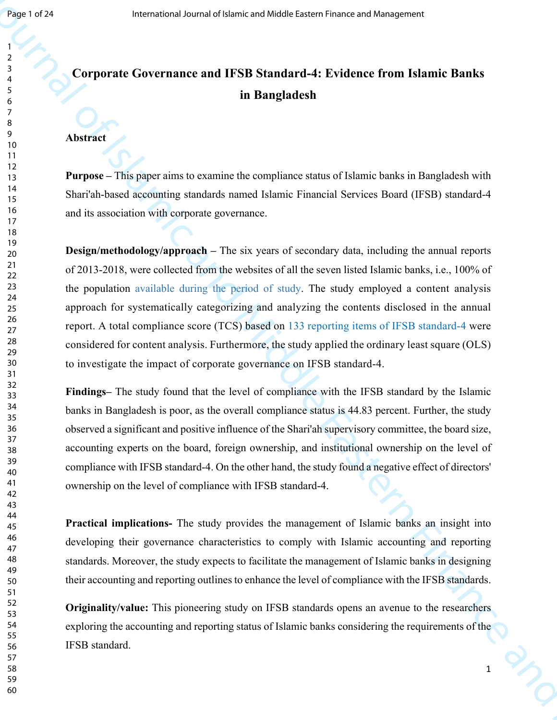# **Corporate Governance and IFSB Standard-4: Evidence from Islamic Banks** <sup>5</sup> **in Bangladesh**

# **Abstract**

**Purpose –** This paper aims to examine the compliance status of Islamic banks in Bangladesh with 14<br>Shari'ah-based accounting standards named Islamic Financial Services Board (IFSB) standard-4 16 and its association with corporate governance.<br>17

23 the population available during the period of study. The study employed a content analysis approach for systematically categorizing and analyzing the contents disclosed in the annual 26 report. A total compliance score (TCS) based on 133 reporting items of IFSB standard-4 were 28 considered for content analysis. Furthermore, the study applied the ordinary least square (OLS) to investigate the impact of corporate governance on IFSB standard-4. **Example 22**<br> **Example 20**<br> **Comporate Governance and ITSU Standard-4: Evidence from Islamic Banks<br>
<b>In Earngladesh**<br> **In Earngladesh**<br> **In Earngladesh**<br> **In Earngladesh**<br> **In Earngladesh**<br> **In Earngladesh**<br> **In Earnglade Design/methodology/approach** – The six years of secondary data, including the annual reports of 2013-2018, were collected from the websites of all the seven listed Islamic banks, i.e., 100% of

<sup>32</sup><br><sup>33</sup> Findings– The study found that the level of compliance with the IFSB standard by the Islamic <sup>34</sup> banks in Bangladesh is poor, as the overall compliance status is 44.83 percent. Further, the study observed a significant and positive influence of the Shari'ah supervisory committee, the board size, accounting experts on the board, foreign ownership, and institutional ownership on the level of <sup>39</sup>compliance with IFSB standard-4. On the other hand, the study found a negative effect of directors' 41 ownership on the level of compliance with IFSB standard-4.

**Practical implications-** The study provides the management of Islamic banks an insight into <sup>46</sup> developing their governance characteristics to comply with Islamic accounting and reporting standards. Moreover, the study expects to facilitate the management of Islamic banks in designing their accounting and reporting outlines to enhance the level of compliance with the IFSB standards.

**Originality/value:** This pioneering study on IFSB standards opens an avenue to the researchers exploring the accounting and reporting status of Islamic banks considering the requirements of the IFSB standard.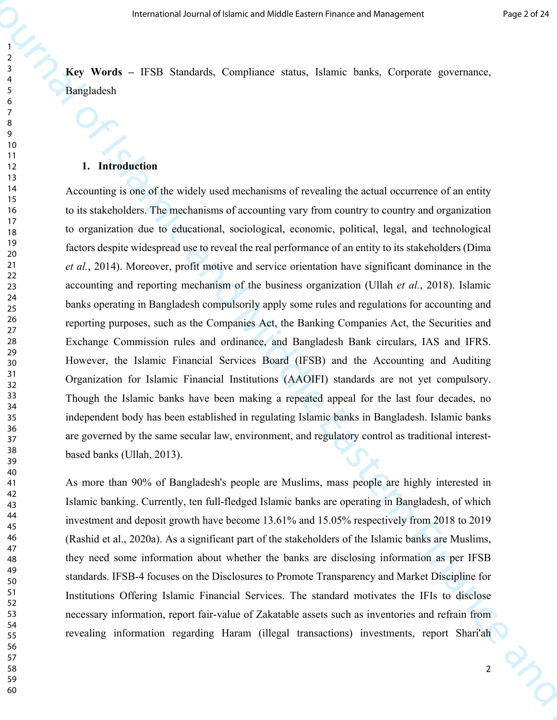<sup>3</sup><br> **Key Words** – IFSB Standards, Compliance status, Islamic banks, Corporate governance, Bangladesh

#### **1. Introduction**

 accounting and reporting mechanism of the business organization (Ullah *et al.*, 2018). Islamic 33 Though the Islamic banks have been making a repeated appeal for the last four decades, no 34 The strain of the three continuous controls. Complimes the time is the continuous properties of the strained of the strained of the strained of the strained of the strained of the strained of the strained of the strained Accounting is one of the widely used mechanisms of revealing the actual occurrence of an entity to its stakeholders. The mechanisms of accounting vary from country to country and organization to organization due to educational, sociological, economic, political, legal, and technological 19 factors despite widespread use to reveal the real performance of an entity to its stakeholders (Dima *et al.*, 2014). Moreover, profit motive and service orientation have significant dominance in the 24<br>banks operating in Bangladesh compulsorily apply some rules and regulations for accounting and 26 reporting purposes, such as the Companies Act, the Banking Companies Act, the Securities and 27 Exchange Commission rules and ordinance, and Bangladesh Bank circulars, IAS and IFRS. However, the Islamic Financial Services Board (IFSB) and the Accounting and Auditing 31 Organization for Islamic Financial Institutions (AAOIFI) standards are not yet compulsory. independent body has been established in regulating Islamic banks in Bangladesh. Islamic banks are governed by the same secular law, environment, and regulatory control as traditional interest- $\frac{38}{39}$  based banks (Ullah, 2013).

 As more than 90% of Bangladesh's people are Muslims, mass people are highly interested in <sup>44</sup>investment and deposit growth have become 13.61% and 15.05% respectively from 2018 to 2019 Islamic banking. Currently, ten full-fledged Islamic banks are operating in Bangladesh, of which (Rashid et al., 2020a). As a significant part of the stakeholders of the Islamic banks are Muslims, they need some information about whether the banks are disclosing information as per IFSB  $\frac{49}{50}$  standards. IFSB-4 focuses on the Disclosures to Promote Transparency and Market Discipline for 51 Institutions Offering Islamic Financial Services. The standard motivates the IFIs to disclose necessary information, report fair-value of Zakatable assets such as inventories and refrain from revealing information regarding Haram (illegal transactions) investments, report Shari'ah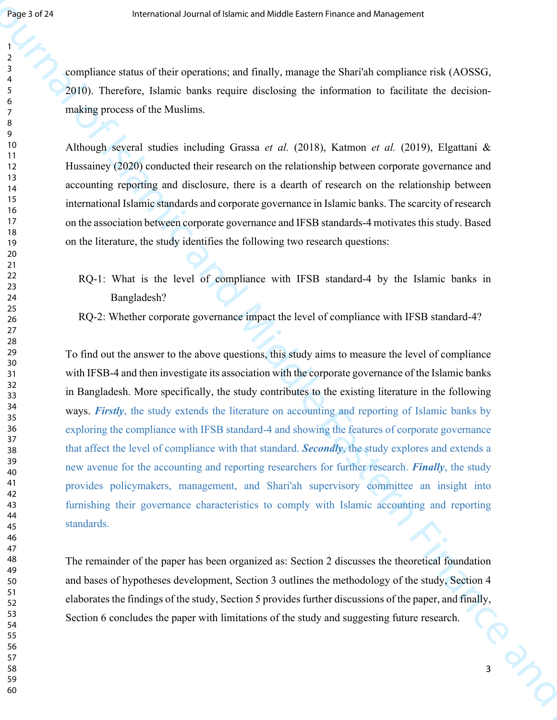<sup>3</sup>compliance status of their operations; and finally, manage the Shari'ah compliance risk (AOSSG, 2010). Therefore, Islamic banks require disclosing the information to facilitate the decision- making process of the Muslims.

Although several studies including Grassa *et al.* (2018), Katmon *et al.* (2019), Elgattani & Hussainey (2020) conducted their research on the relationship between corporate governance and accounting reporting and disclosure, there is a dearth of research on the relationship between is international Islamic standards and corporate governance in Islamic banks. The scarcity of research 16 17 on the association between corporate governance and IFSB standards-4 motivates this study. Based on the literature, the study identifies the following two research questions:

- RQ-1: What is the level of compliance with IFSB standard-4 by the Islamic banks in  $23$ Bangladesh?
- RQ-2: Whether corporate governance impact the level of compliance with IFSB standard-4?

 that affect the level of compliance with that standard. *Secondly*, the study explores and extends a **Example 22**<br> **Example International of Middle Eastern Finance and Middle Eastern Finance Professor<br>
23<br>
<b>Aoministration** Journal Middle Example 30 decrease and Middle Eastern Finance is the Celtister Bre-decision-<br>
24<br> To find out the answer to the above questions, this study aims to measure the level of compliance with IFSB-4 and then investigate its association with the corporate governance of the Islamic banks <sup>32</sup>in Bangladesh. More specifically, the study contributes to the existing literature in the following 34 ways. *Firstly*, the study extends the literature on accounting and reporting of Islamic banks by exploring the compliance with IFSB standard-4 and showing the features of corporate governance <sup>39</sup> new avenue for the accounting and reporting researchers for further research. *Finally*, the study 41 provides policymakers, management, and Shari'ah supervisory committee an insight into 42 furnishing their governance characteristics to comply with Islamic accounting and reporting standards.

The remainder of the paper has been organized as: Section 2 discusses the theoretical foundation and bases of hypotheses development, Section 3 outlines the methodology of the study, Section 4 51 elaborates the findings of the study, Section 5 provides further discussions of the paper, and finally, 53 Section 6 concludes the paper with limitations of the study and suggesting future research.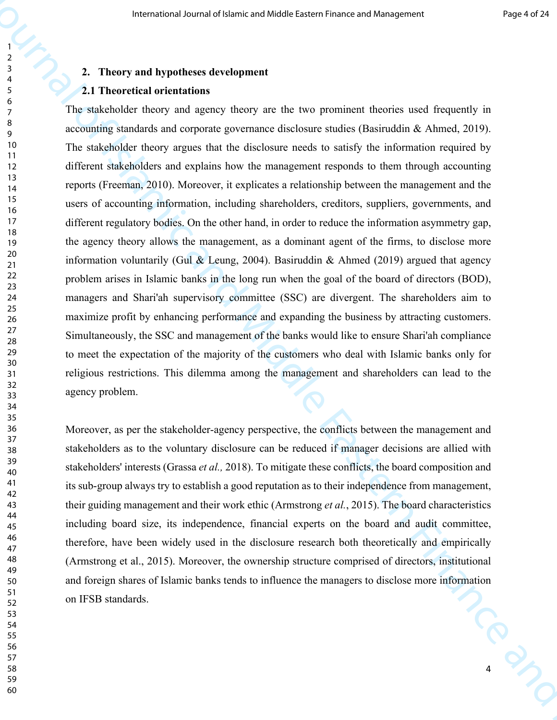# **2. Theory and hypotheses development** <sup>4</sup>

### **2.1 Theoretical orientations**

The stakeholder theory argues that the disclosure needs to satisfy the information required by 11 22 problem arises in Islamic banks in the long run when the goal of the board of directors (BOD), 23 managers and Shari'ah supervisory committee (SSC) are divergent. The shareholders aim to The means of Lemma and Middle Lemma where and Middle Lemma where and Southern Contents in the mean of the Contents of International of The mean of Islamic and Middle Theoretical Society and Middle Contents in the contents The stakeholder theory and agency theory are the two prominent theories used frequently in  $\frac{9}{9}$  accounting standards and corporate governance disclosure studies (Basiruddin & Ahmed, 2019). different stakeholders and explains how the management responds to them through accounting reports (Freeman, 2010). Moreover, it explicates a relationship between the management and the users of accounting information, including shareholders, creditors, suppliers, governments, and 16 different regulatory bodies. On the other hand, in order to reduce the information asymmetry gap, the agency theory allows the management, as a dominant agent of the firms, to disclose more information voluntarily (Gul & Leung, 2004). Basiruddin & Ahmed (2019) argued that agency <sup>25</sup> maximize profit by enhancing performance and expanding the business by attracting customers. 27 Simultaneously, the SSC and management of the banks would like to ensure Shari'ah compliance to meet the expectation of the majority of the customers who deal with Islamic banks only for religious restrictions. This dilemma among the management and shareholders can lead to the 32<br>33 agency problem.

Moreover, as per the stakeholder-agency perspective, the conflicts between the management and stakeholders as to the voluntary disclosure can be reduced if manager decisions are allied with 39<br>stakeholders' interests (Grassa *et al.*, 2018). To mitigate these conflicts, the board composition and <sup>41</sup> its sub-group always try to establish a good reputation as to their independence from management, <sup>42</sup> their guiding management and their work ethic (Armstrong *et al.*, 2015). The board characteristics including board size, its independence, financial experts on the board and audit committee, <sup>40</sup>therefore, have been widely used in the disclosure research both theoretically and empirically theoretical (Armstrong et al., 2015). Moreover, the ownership structure comprised of directors, institutional and foreign shares of Islamic banks tends to influence the managers to disclose more information 51 on IFSB standards.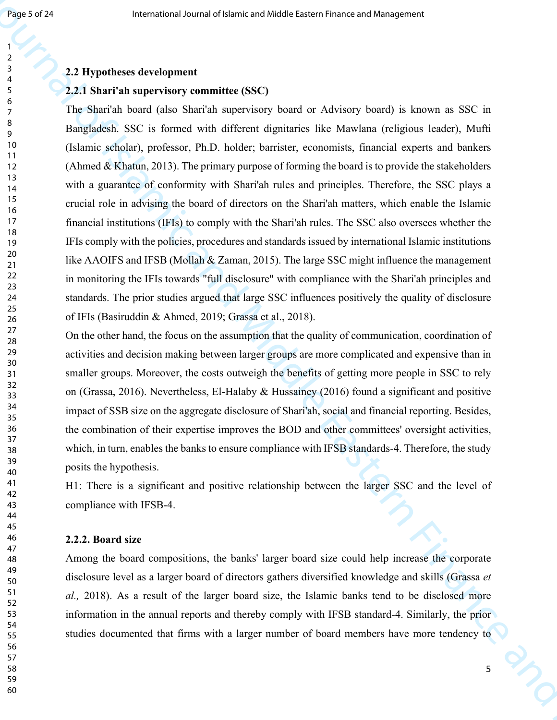# **2.2 Hypotheses development** <sup>4</sup>

#### **2.2.1 Shari'ah supervisory committee (SSC)**

with a guarantee of conformity with Shari'ah rules and principles. Therefore, the SSC plays a <sup>15</sup>crucial role in advising the board of directors on the Shari'ah matters, which enable the Islamic **Example 22**<br> **Example 22 Dynamics development**<br> **2.2 Dynamics development**<br> **2.2 Dynamics development**<br> **2.2 Dynamics development**<br> **2.2 Dynamics development**<br> **3.4 Example 3.6 C** is found only distributed The Shari'ah board (also Shari'ah supervisory board or Advisory board) is known as SSC in <sup>9</sup> Bangladesh. SSC is formed with different dignitaries like Mawlana (religious leader), Mufti (Islamic scholar), professor, Ph.D. holder; barrister, economists, financial experts and bankers (Ahmed & Khatun, 2013). The primary purpose of forming the board is to provide the stakeholders financial institutions (IFIs) to comply with the Shari'ah rules. The SSC also oversees whether the IFIs comply with the policies, procedures and standards issued by international Islamic institutions like AAOIFS and IFSB (Mollah  $\&$  Zaman, 2015). The large SSC might influence the management 22 in monitoring the IFIs towards "full disclosure" with compliance with the Shari'ah principles and 23 standards. The prior studies argued that large SSC influences positively the quality of disclosure  $\frac{26}{26}$  of IFIs (Basiruddin & Ahmed, 2019; Grassa et al., 2018).

27 On the other hand, the focus on the assumption that the quality of communication, coordination of activities and decision making between larger groups are more complicated and expensive than in smaller groups. Moreover, the costs outweigh the benefits of getting more people in SSC to rely 32 on (Grassa, 2016). Nevertheless, El-Halaby & Hussainey (2016) found a significant and positive <sup>34</sup> impact of SSB size on the aggregate disclosure of Shari'ah, social and financial reporting. Besides, the combination of their expertise improves the BOD and other committees' oversight activities, which, in turn, enables the banks to ensure compliance with IFSB standards-4. Therefore, the study  $\frac{39}{40}$  posits the hypothesis.

41 H1: There is a significant and positive relationship between the larger SSC and the level of compliance with IFSB-4.

#### **2.2.2. Board size**

Among the board compositions, the banks' larger board size could help increase the corporate disclosure level as a larger board of directors gathers diversified knowledge and skills (Grassa *et al.,* 2018). As a result of the larger board size, the Islamic banks tend to be disclosed more <sup>52</sup> information in the annual reports and thereby comply with IFSB standard-4. Similarly, the prior studies documented that firms with a larger number of board members have more tendency to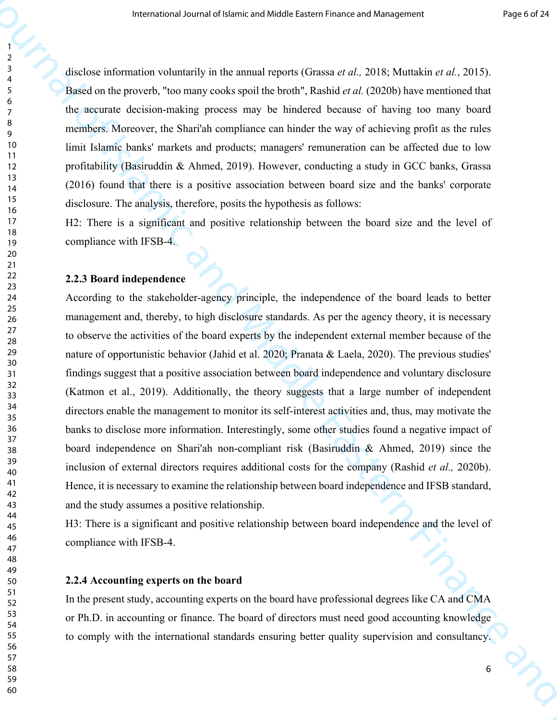disclose information voluntarily in the annual reports (Grassa *et al.,* 2018; Muttakin *et al.*, 2015). <sup>4</sup> Based on the proverb, "too many cooks spoil the broth", Rashid *et al.* (2020b) have mentioned that <sub>7</sub> the accurate decision-making process may be hindered because of having too many board  $\frac{9}{9}$  members. Moreover, the Shari'ah compliance can hinder the way of achieving profit as the rules limit Islamic banks' markets and products; managers' remuneration can be affected due to low profitability (Basiruddin & Ahmed, 2019). However, conducting a study in GCC banks, Grassa (2016) found that there is a positive association between board size and the banks' corporate disclosure. The analysis, therefore, posits the hypothesis as follows:

H2: There is a significant and positive relationship between the board size and the level of compliance with IFSB-4.

# **2.2.3 Board independence** <sup>23</sup>

34 directors enable the management to monitor its self-interest activities and, thus, may motivate the 39 inclusion of external directors requires additional costs for the company (Rashid *et al.,* 2020b). The measure of Latter is of Middle Latter is that we can be a stational of  $\sim$  1998)<br>
The station from the measurement of Islamic and Anti- (2018) Minuted in a  $\sim$  2019)<br>
The station from the stational probability the S According to the stakeholder-agency principle, the independence of the board leads to better <sup>25</sup> management and, thereby, to high disclosure standards. As per the agency theory, it is necessary <sup>27</sup>to observe the activities of the board experts by the independent external member because of the nature of opportunistic behavior (Jahid et al. 2020; Pranata & Laela, 2020). The previous studies' findings suggest that a positive association between board independence and voluntary disclosure (Katmon et al., 2019). Additionally, the theory suggests that a large number of independent banks to disclose more information. Interestingly, some other studies found a negative impact of board independence on Shari'ah non-compliant risk (Basiruddin & Ahmed, 2019) since the 41 Hence, it is necessary to examine the relationship between board independence and IFSB standard, 42 and the study assumes a positive relationship.

H3: There is a significant and positive relationship between board independence and the level of  $^{40}_{47}$  compliance with IFSB-4.

#### **2.2.4 Accounting experts on the board**

51<br>52 In the present study, accounting experts on the board have professional degrees like CA and CMA 53 or Ph.D. in accounting or finance. The board of directors must need good accounting knowledge to comply with the international standards ensuring better quality supervision and consultancy.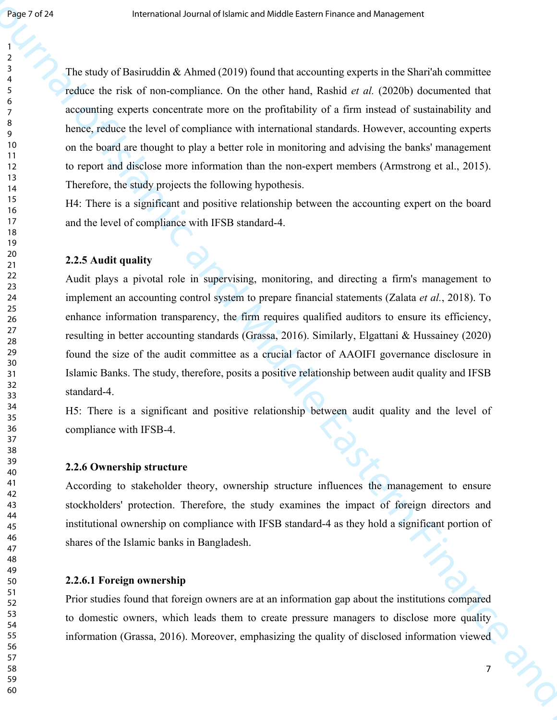reduce the risk of non-compliance. On the other hand, Rashid *et al.* (2020b) documented that **Example 20**<br> **Example 20**<br> **The study of Bushridan &** Ahmed (2019) found that accounting seperation in the Sharib committees<br>
where the relation theoretical Control and Middle California and Middle California and Middle  $\frac{3}{4}$  The study of Basiruddin & Ahmed (2019) found that accounting experts in the Shari'ah committee accounting experts concentrate more on the profitability of a firm instead of sustainability and <sup>o</sup> hence, reduce the level of compliance with international standards. However, accounting experts <sup>10</sup> on the board are thought to play a better role in monitoring and advising the banks' management <sup>11</sup> to report and disclose more information than the non-expert members (Armstrong et al., 2015). Therefore, the study projects the following hypothesis.

<sup>15</sup> H4: There is a significant and positive relationship between the accounting expert on the board and the level of compliance with IFSB standard-4.

### **2.2.5 Audit quality**

22<br>23 Audit plays a pivotal role in supervising, monitoring, and directing a firm's management to 27 resulting in better accounting standards (Grassa, 2016). Similarly, Elgattani & Hussainey (2020) found the size of the audit committee as a crucial factor of AAOIFI governance disclosure in implement an accounting control system to prepare financial statements (Zalata *et al.*, 2018). To <sup>25</sup> enhance information transparency, the firm requires qualified auditors to ensure its efficiency, Islamic Banks. The study, therefore, posits a positive relationship between audit quality and IFSB  $32 \t standard-4.$ 

 $<sup>34</sup>$  H5: There is a significant and positive relationship between audit quality and the level of</sup> compliance with IFSB-4.

# **2.2.6 Ownership structure**

41 According to stakeholder theory, ownership structure influences the management to ensure 42 stockholders' protection. Therefore, the study examines the impact of foreign directors and institutional ownership on compliance with IFSB standard-4 as they hold a significant portion of <sup>40</sup>shares of the Islamic banks in Bangladesh.

#### **2.2.6.1 Foreign ownership**

51 Prior studies found that foreign owners are at an information gap about the institutions compared 53 to domestic owners, which leads them to create pressure managers to disclose more quality 54 information (Grassa, 2016). Moreover, emphasizing the quality of disclosed information viewed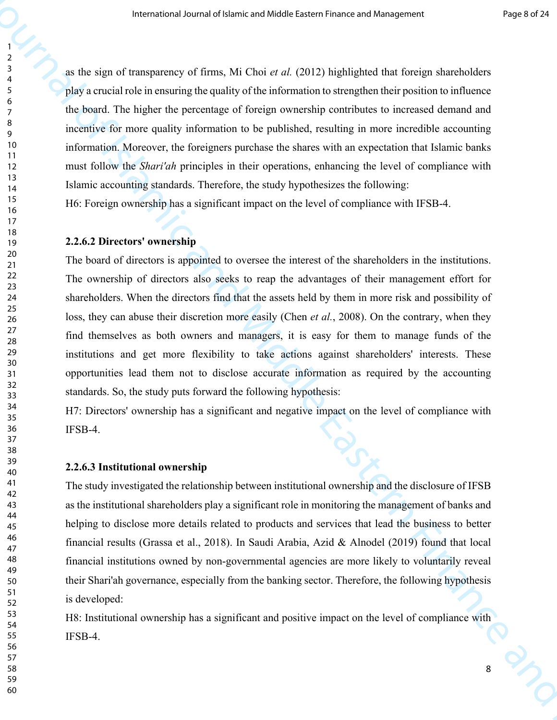as the sign of transparency of firms, Mi Choi *et al.* (2012) highlighted that foreign shareholders 4 play a crucial role in ensuring the quality of the information to strengthen their position to influence <sup>7</sup> the board. The higher the percentage of foreign ownership contributes to increased demand and <sup>9</sup> incentive for more quality information to be published, resulting in more incredible accounting information. Moreover, the foreigners purchase the shares with an expectation that Islamic banks must follow the *Shari'ah* principles in their operations, enhancing the level of compliance with Islamic accounting standards. Therefore, the study hypothesizes the following:

<sup>15</sup> H6: Foreign ownership has a significant impact on the level of compliance with IFSB-4.

#### **2.2.6.2 Directors' ownership**

22 The ownership of directors also seeks to reap the advantages of their management effort for 23 The mean of the strength of  $\sim$  1988 and Anti-<br>
23 and the strength of Theorem and Anti-<br>
23 and the strength of Islamic and Anti-<br>
23 and the strength of Islamic and Anti-<br>
34 and Contents To This higher the particle is The board of directors is appointed to oversee the interest of the shareholders in the institutions. shareholders. When the directors find that the assets held by them in more risk and possibility of loss, they can abuse their discretion more easily (Chen *et al.*, 2008). On the contrary, when they  $\frac{27}{28}$  find themselves as both owners and managers, it is easy for them to manage funds of the institutions and get more flexibility to take actions against shareholders' interests. These opportunities lead them not to disclose accurate information as required by the accounting 32 standards. So, the study puts forward the following hypothesis:

 $<sup>34</sup>$  H7: Directors' ownership has a significant and negative impact on the level of compliance with</sup> IFSB-4.

# **2.2.6.3 Institutional ownership**

41 The study investigated the relationship between institutional ownership and the disclosure of IFSB as the institutional shareholders play a significant role in monitoring the management of banks and helping to disclose more details related to products and services that lead the business to better  $^{40}$  financial results (Grassa et al., 2018). In Saudi Arabia, Azid & Alnodel (2019) found that local financial institutions owned by non-governmental agencies are more likely to voluntarily reveal their Shari'ah governance, especially from the banking sector. Therefore, the following hypothesis is developed:

53 H8: Institutional ownership has a significant and positive impact on the level of compliance with IFSB-4.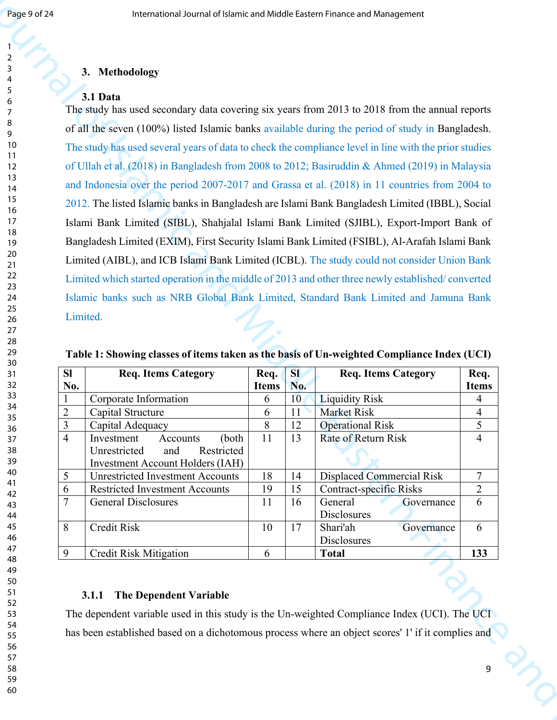# **3. Methodology** <sup>4</sup>

# **3.1 Data**

and Indonesia over the period 2007-2017 and Grassa et al. (2018) in 11 countries from 2004 to Islamic banks such as NRB Global Bank Limited, Standard Bank Limited and Jamuna Bank **Example 2.53**<br> **Example 2. A. Methodology**<br> **A. Methodology**<br> **A. Methodology**<br> **A. Methodology**<br> **A. Methodology**<br> **A. Methodology**<br> **A. Methodology**<br> **A. Methodology**<br> **IDE 2.8 Example 3.6 Consequent Finance and** The study has used secondary data covering six years from 2013 to 2018 from the annual reports 8 of all the seven (100%) listed Islamic banks available during the period of study in Bangladesh. The study has used several years of data to check the compliance level in line with the prior studies of Ullah et al. (2018) in Bangladesh from 2008 to 2012; Basiruddin & Ahmed (2019) in Malaysia <sup>15</sup> 2012. The listed Islamic banks in Bangladesh are Islami Bank Bangladesh Limited (IBBL), Social 16 Islami Bank Limited (SIBL), Shahjalal Islami Bank Limited (SJIBL), Export-Import Bank of Bangladesh Limited (EXIM), First Security Islami Bank Limited (FSIBL), Al-Arafah Islami Bank Limited (AIBL), and ICB Islami Bank Limited (ICBL). The study could not consider Union Bank 22 Limited which started operation in the middle of 2013 and other three newly established/ converted 23 Limited.

| <b>SI</b>                   | <b>Req. Items Category</b>              | Req.         | <b>SI</b> | <b>Req. Items Category</b>     | Req.         |
|-----------------------------|-----------------------------------------|--------------|-----------|--------------------------------|--------------|
| No.                         |                                         | <b>Items</b> | No.       |                                | <b>Items</b> |
|                             | Corporate Information                   | 6            | 10        | <b>Liquidity Risk</b>          |              |
| $\mathcal{D}_{\mathcal{L}}$ | Capital Structure                       | 6            | 11        | <b>Market Risk</b>             | 4            |
| 3                           | Capital Adequacy                        | 8            | 12        | <b>Operational Risk</b>        | 5            |
| $\overline{4}$              | Investment<br>Accounts<br>(both         | 11           | 13        | Rate of Return Risk            |              |
|                             | Restricted<br>Unrestricted<br>and       |              |           |                                |              |
|                             | <b>Investment Account Holders (IAH)</b> |              |           |                                |              |
| 5                           | <b>Unrestricted Investment Accounts</b> | 18           | 14        | Displaced Commercial Risk      | 7            |
| 6                           | <b>Restricted Investment Accounts</b>   | 19           | 15        | <b>Contract-specific Risks</b> | 2            |
| 7                           | <b>General Disclosures</b>              | 11           | 16        | General<br>Governance          | 6            |
|                             |                                         |              |           | <b>Disclosures</b>             |              |
| 8                           | <b>Credit Risk</b>                      | 10           | 17        | Shari'ah<br>Governance         | 6            |
|                             |                                         |              |           | <b>Disclosures</b>             |              |
| 9                           | <b>Credit Risk Mitigation</b>           | 6            |           | <b>Total</b>                   | 133          |

**Table 1: Showing classes of items taken as the basis of Un-weighted Compliance Index (UCI)** 

# **3.1.1 The Dependent Variable** <sup>52</sup>

The dependent variable used in this study is the Un-weighted Compliance Index (UCI). The UCI has been established based on a dichotomous process where an object scores' 1' if it complies and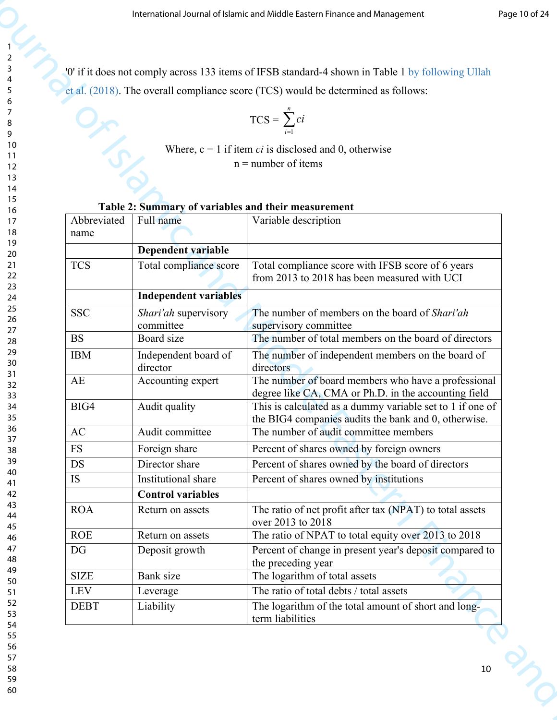$$
TCS = \sum_{i=1}^{n} ci
$$

## **Table 2: Summary of variables and their measurement**

|             |                                                     | International Journal of Islamic and Middle Eastern Finance and Management                                  | Page 10 of 24 |
|-------------|-----------------------------------------------------|-------------------------------------------------------------------------------------------------------------|---------------|
|             |                                                     | '0' if it does not comply across 133 items of IFSB standard-4 shown in Table 1 by following Ullah           |               |
|             |                                                     | et al. (2018). The overall compliance score (TCS) would be determined as follows:                           |               |
|             |                                                     | $TCS = \sum_{i=1}^{n} ci$                                                                                   |               |
|             |                                                     | Where, $c = 1$ if item <i>ci</i> is disclosed and 0, otherwise<br>$n =$ number of items                     |               |
|             | Table 2: Summary of variables and their measurement |                                                                                                             |               |
| Abbreviated | Full name                                           | Variable description                                                                                        |               |
| name        | Dependent variable                                  |                                                                                                             |               |
| <b>TCS</b>  | Total compliance score                              | Total compliance score with IFSB score of 6 years<br>from 2013 to 2018 has been measured with UCI           |               |
|             | <b>Independent variables</b>                        |                                                                                                             |               |
| <b>SSC</b>  | Shari'ah supervisory                                | The number of members on the board of Shari'ah                                                              |               |
| <b>BS</b>   | committee<br>Board size                             | supervisory committee<br>The number of total members on the board of directors                              |               |
| <b>IBM</b>  | Independent board of                                | The number of independent members on the board of                                                           |               |
|             | director                                            | directors                                                                                                   |               |
| AE          | Accounting expert                                   | The number of board members who have a professional<br>degree like CA, CMA or Ph.D. in the accounting field |               |
| BIG4        | Audit quality                                       | This is calculated as a dummy variable set to 1 if one of                                                   |               |
| AC          | Audit committee                                     | the BIG4 companies audits the bank and 0, otherwise.<br>The number of audit committee members               |               |
| <b>FS</b>   | Foreign share                                       | Percent of shares owned by foreign owners                                                                   |               |
| <b>DS</b>   | Director share                                      | Percent of shares owned by the board of directors                                                           |               |
| IS          | Institutional share                                 | Percent of shares owned by institutions                                                                     |               |
|             | <b>Control variables</b>                            |                                                                                                             |               |
| <b>ROA</b>  | Return on assets                                    | The ratio of net profit after tax (NPAT) to total assets<br>over 2013 to 2018                               |               |
| <b>ROE</b>  | Return on assets                                    | The ratio of NPAT to total equity over 2013 to 2018                                                         |               |
| DG          | Deposit growth                                      | Percent of change in present year's deposit compared to<br>the preceding year                               |               |
| <b>SIZE</b> | Bank size                                           | The logarithm of total assets                                                                               |               |
| <b>LEV</b>  | Leverage                                            | The ratio of total debts / total assets                                                                     |               |
| <b>DEBT</b> | Liability                                           | The logarithm of the total amount of short and long-<br>term liabilities                                    |               |

| 6                        |                 |
|--------------------------|-----------------|
|                          |                 |
| š<br>٤                   |                 |
| ¢<br>€                   |                 |
|                          | 10              |
| 1                        | 1               |
| 1                        | Č               |
| 1                        | ξ               |
|                          | 1               |
| 1<br>1!                  | 5               |
|                          |                 |
|                          | 16<br>;         |
| 1                        |                 |
| 18                       | 3               |
|                          | 19              |
|                          | $\overline{20}$ |
| $\overline{2}$           | 1               |
| $\overline{2}$           | $\overline{2}$  |
| $\overline{2}$           | 3               |
|                          | $\frac{24}{3}$  |
|                          | 25              |
|                          | 26              |
| $\frac{1}{2}$            |                 |
|                          | 28              |
|                          | 29              |
|                          | 30              |
| 3                        | 1               |
|                          |                 |
| 3                        | $\overline{2}$  |
| 3                        | 3               |
|                          | 34              |
|                          | 35              |
|                          | 36              |
| $\overline{\phantom{a}}$ |                 |
| 38                       | 3               |
| $\frac{3}{2}$            | 9               |
|                          | $40 \,$         |
|                          | 41              |
|                          | 42              |
| Ĺ                        | ٦               |
|                          | 44              |
|                          | 45              |
|                          |                 |
|                          | 46              |
| 47                       |                 |
| 48                       | 3               |
|                          | 49              |
| l                        | 50              |
| Ę<br>Ć                   | 1               |
| C<br>5                   | 2               |
| r,<br>5                  | ξ               |
| C                        | 54              |
| C                        | 55              |
| C                        | 56              |
| 5                        | ı,              |
| 58                       |                 |
|                          |                 |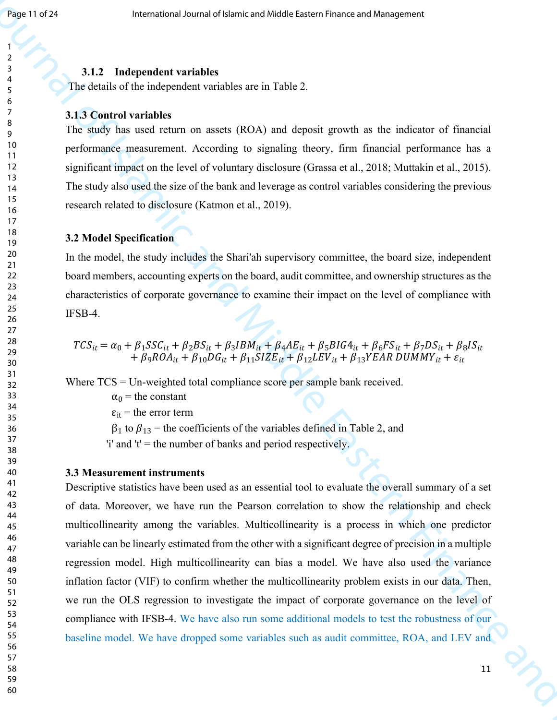# **3.1.2 Independent variables** <sup>4</sup>

The details of the independent variables are in Table 2.

# **3.1.3 Control variables**

 significant impact on the level of voluntary disclosure (Grassa et al., 2018; Muttakin et al., 2015).  $\frac{8}{9}$  The study has used return on assets (ROA) and deposit growth as the indicator of financial <sup>10</sup> performance measurement. According to signaling theory, firm financial performance has a 11 The study also used the size of the bank and leverage as control variables considering the previous research related to disclosure (Katmon et al., 2019).

# **3.2 Model Specification** <sup>19</sup>

<sup>20</sup> In the model, the study includes the Shari'ah supervisory committee, the board size, independent <sup>21</sup> board members, accounting experts on the board, audit committee, and ownership structures as the characteristics of corporate governance to examine their impact on the level of compliance with  $\frac{25}{26}$  IFSB-4.

$$
TCS_{it} = \alpha_0 + \beta_1 SSC_{it} + \beta_2 BS_{it} + \beta_3 IBM_{it} + \beta_4 AE_{it} + \beta_5 BIG4_{it} + \beta_6 FS_{it} + \beta_7 DS_{it} + \beta_8 IS_{it} + \beta_9 ROA_{it} + \beta_{10} DG_{it} + \beta_{11} SIZE_{it} + \beta_{12} LEV_{it} + \beta_{13} YEAR DUMMY_{it} + \varepsilon_{it}
$$

 $\frac{32}{32}$  Where TCS = Un-weighted total compliance score per sample bank received.

33  $\alpha_0$  = the constant

 $\varepsilon_{it}$  = the error term

36  $\beta_1$  to  $\beta_{13}$  = the coefficients of the variables defined in Table 2, and

 $37'$  i' and 't' = the number of banks and period respectively.

### **3.3 Measurement instruments**

**Example 18 and 18**<br> **3.13**<br> **3.14**<br> **1.1.2 Interpretation and Middle Eastern Finance and Middle Eastern Finance and Middle Eastern Finance<br>
<b>3.14**<br> **1.1.2. International And Middle Eastern Finance and Middle Eastern** 41 Descriptive statistics have been used as an essential tool to evaluate the overall summary of a set of data. Moreover, we have run the Pearson correlation to show the relationship and check multicollinearity among the variables. Multicollinearity is a process in which one predictor variable can be linearly estimated from the other with a significant degree of precision in a multiple 48 regression model. High multicollinearity can bias a model. We have also used the variance inflation factor (VIF) to confirm whether the multicollinearity problem exists in our data. Then, we run the OLS regression to investigate the impact of corporate governance on the level of 53 compliance with IFSB-4. We have also run some additional models to test the robustness of our baseline model. We have dropped some variables such as audit committee, ROA, and LEV and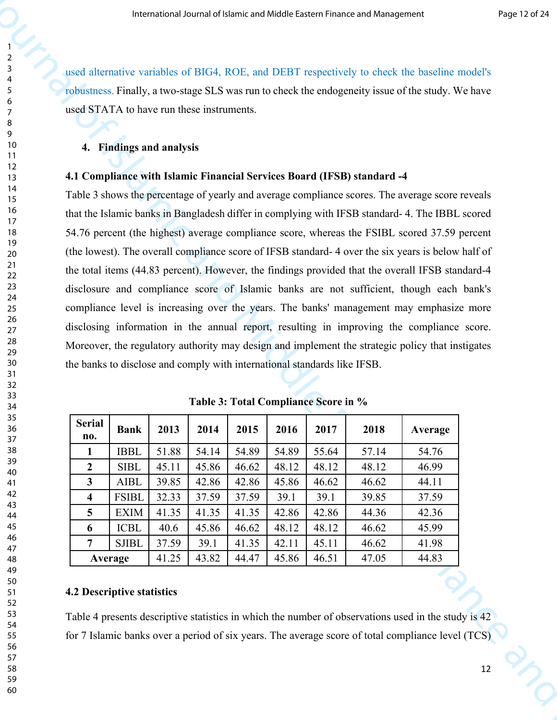used alternative variables of BIG4, ROE, and DEBT respectively to check the baseline model's robustness. Finally, a two-stage SLS was run to check the endogeneity issue of the study. We have used STATA to have run these instruments.

### **4. Findings and analysis**

### **4.1 Compliance with Islamic Financial Services Board (IFSB) standard -4**

 Table 3 shows the percentage of yearly and average compliance scores. The average score reveals The means of Lietutional Middle Lands a heating of Middle Lands and The Middle Theoretical Specifics (A) and DVI The means of the smaller world's photons. Finally, a two-sample of Nickle and Middle Theoretical Specifics ( that the Islamic banks in Bangladesh differ in complying with IFSB standard- 4. The IBBL scored 54.76 percent (the highest) average compliance score, whereas the FSIBL scored 37.59 percent (the lowest). The overall compliance score of IFSB standard- 4 over the six years is below half of the total items (44.83 percent). However, the findings provided that the overall IFSB standard-4 disclosure and compliance score of Islamic banks are not sufficient, though each bank's compliance level is increasing over the years. The banks' management may emphasize more disclosing information in the annual report, resulting in improving the compliance score. Moreover, the regulatory authority may design and implement the strategic policy that instigates the banks to disclose and comply with international standards like IFSB.

| <b>Serial</b><br>no.    | <b>Bank</b>  | 2013  | 2014  | 2015  | 2016  | 2017  | 2018  | Average |
|-------------------------|--------------|-------|-------|-------|-------|-------|-------|---------|
| 1                       | <b>IBBL</b>  | 51.88 | 54.14 | 54.89 | 54.89 | 55.64 | 57.14 | 54.76   |
| $\boldsymbol{2}$        | <b>SIBL</b>  | 45.11 | 45.86 | 46.62 | 48.12 | 48.12 | 48.12 | 46.99   |
| 3                       | <b>AIBL</b>  | 39.85 | 42.86 | 42.86 | 45.86 | 46.62 | 46.62 | 44.11   |
| $\overline{\mathbf{4}}$ | <b>FSIBL</b> | 32.33 | 37.59 | 37.59 | 39.1  | 39.1  | 39.85 | 37.59   |
| $5\overline{)}$         | <b>EXIM</b>  | 41.35 | 41.35 | 41.35 | 42.86 | 42.86 | 44.36 | 42.36   |
| 6                       | <b>ICBL</b>  | 40.6  | 45.86 | 46.62 | 48.12 | 48.12 | 46.62 | 45.99   |
| $\overline{7}$          | <b>SJIBL</b> | 37.59 | 39.1  | 41.35 | 42.11 | 45.11 | 46.62 | 41.98   |
|                         | Average      | 41.25 | 43.82 | 44.47 | 45.86 | 46.51 | 47.05 | 44.83   |

**Table 3: Total Compliance Score in %** 

### **4.2 Descriptive statistics**

Table 4 presents descriptive statistics in which the number of observations used in the study is 42 for 7 Islamic banks over a period of six years. The average score of total compliance level (TCS)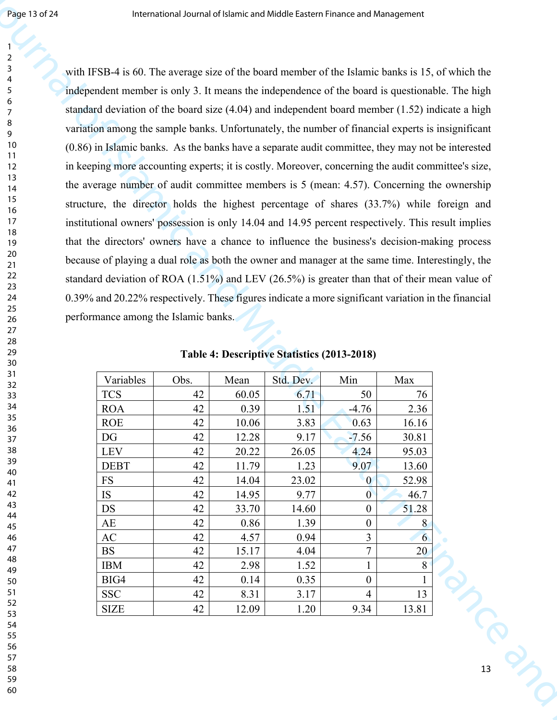with IFSB-4 is 60. The average size of the board member of the Islamic banks is 15, of which the standard deviation of the board size (4.04) and independent board member (1.52) indicate a high **Example 26**<br> **Example 36**<br> **Example 36**<br> **Example 36**<br> **Example 36**<br> **Example 36**<br> **Example 36**<br> **Example 36**<br> **Example 36**<br> **Example 36**<br> **Example 36**<br> **Example 36**<br> **Example 36**<br> **Example 36**<br> **Example 36**<br> **Example 36** independent member is only 3. It means the independence of the board is questionable. The high variation among the sample banks. Unfortunately, the number of financial experts is insignificant (0.86) in Islamic banks. As the banks have a separate audit committee, they may not be interested in keeping more accounting experts; it is costly. Moreover, concerning the audit committee's size, the average number of audit committee members is 5 (mean: 4.57). Concerning the ownership structure, the director holds the highest percentage of shares (33.7%) while foreign and institutional owners' possession is only 14.04 and 14.95 percent respectively. This result implies that the directors' owners have a chance to influence the business's decision-making process because of playing a dual role as both the owner and manager at the same time. Interestingly, the standard deviation of ROA (1.51%) and LEV (26.5%) is greater than that of their mean value of 0.39% and 20.22% respectively. These figures indicate a more significant variation in the financial performance among the Islamic banks.

| Variables   | Obs. | Mean  | Std. Dev. | Min              | Max          |    |
|-------------|------|-------|-----------|------------------|--------------|----|
| <b>TCS</b>  | 42   | 60.05 | 6.71      | 50               | 76           |    |
| <b>ROA</b>  | 42   | 0.39  | 1.51      | $-4.76$          | 2.36         |    |
| <b>ROE</b>  | 42   | 10.06 | 3.83      | 0.63             | 16.16        |    |
| DG          | 42   | 12.28 | 9.17      | $-7.56$          | 30.81        |    |
| LEV         | 42   | 20.22 | 26.05     | 4.24             | 95.03        |    |
| <b>DEBT</b> | 42   | 11.79 | 1.23      | 9.07             | 13.60        |    |
| ${\rm FS}$  | 42   | 14.04 | 23.02     | $\overline{0}$   | 52.98        |    |
| IS          | 42   | 14.95 | 9.77      | $\mathbf{0}$     | 46.7         |    |
| <b>DS</b>   | 42   | 33.70 | 14.60     | $\boldsymbol{0}$ | 51.28        |    |
| AE          | 42   | 0.86  | 1.39      | $\boldsymbol{0}$ | 8            |    |
| AC          | 42   | 4.57  | 0.94      | $\overline{3}$   | 6            |    |
| <b>BS</b>   | 42   | 15.17 | 4.04      | $\overline{7}$   | 20           |    |
| <b>IBM</b>  | 42   | 2.98  | 1.52      | $\mathbf{1}$     | $8\,$        |    |
| BIG4        | 42   | 0.14  | 0.35      | $\boldsymbol{0}$ | $\mathbf{1}$ |    |
| <b>SSC</b>  | 42   | 8.31  | 3.17      | $\overline{4}$   | 13           |    |
| <b>SIZE</b> | 42   | 12.09 | 1.20      | 9.34             | 13.81        |    |
|             |      |       |           |                  |              |    |
|             |      |       |           |                  |              |    |
|             |      |       |           |                  |              |    |
|             |      |       |           |                  |              | 13 |
|             |      |       |           |                  |              |    |
|             |      |       |           |                  |              |    |
|             |      |       |           |                  |              |    |

**Table 4: Descriptive Statistics (2013-2018)**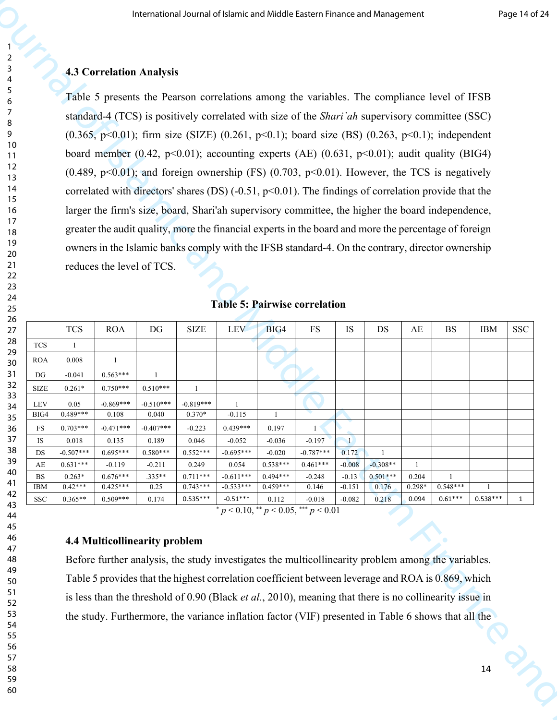### **4.3 Correlation Analysis**

|           |                                             |                           |                                 |                           |                          | International Journal of Islamic and Middle Eastern Finance and Management                                                                                                                                     |                                           |                           |                     |                            |                        |            |            | Page 14 of 24 |
|-----------|---------------------------------------------|---------------------------|---------------------------------|---------------------------|--------------------------|----------------------------------------------------------------------------------------------------------------------------------------------------------------------------------------------------------------|-------------------------------------------|---------------------------|---------------------|----------------------------|------------------------|------------|------------|---------------|
|           |                                             |                           | <b>4.3 Correlation Analysis</b> |                           |                          |                                                                                                                                                                                                                |                                           |                           |                     |                            |                        |            |            |               |
| 6         |                                             |                           |                                 |                           |                          | Table 5 presents the Pearson correlations among the variables. The compliance level of IFSB                                                                                                                    |                                           |                           |                     |                            |                        |            |            |               |
| - 7<br>8  |                                             |                           |                                 |                           |                          | standard-4 (TCS) is positively correlated with size of the Shari'ah supervisory committee (SSC)                                                                                                                |                                           |                           |                     |                            |                        |            |            |               |
| 9<br>10   |                                             |                           |                                 |                           |                          | $(0.365, p<0.01)$ ; firm size (SIZE) (0.261, p<0.1); board size (BS) (0.263, p<0.1); independent                                                                                                               |                                           |                           |                     |                            |                        |            |            |               |
| -11<br>12 |                                             |                           |                                 |                           |                          | board member (0.42, p<0.01); accounting experts (AE) (0.631, p<0.01); audit quality (BIG4)                                                                                                                     |                                           |                           |                     |                            |                        |            |            |               |
| 13        |                                             |                           |                                 |                           |                          | $(0.489, p<0.01)$ ; and foreign ownership (FS) $(0.703, p<0.01)$ . However, the TCS is negatively                                                                                                              |                                           |                           |                     |                            |                        |            |            |               |
| 14<br>15  |                                             |                           |                                 |                           |                          | correlated with directors' shares (DS) $(-0.51, p<0.01)$ . The findings of correlation provide that the                                                                                                        |                                           |                           |                     |                            |                        |            |            |               |
| 16<br>17  |                                             |                           |                                 |                           |                          | larger the firm's size, board, Shari'ah supervisory committee, the higher the board independence,<br>greater the audit quality, more the financial experts in the board and more the percentage of foreign     |                                           |                           |                     |                            |                        |            |            |               |
| 18<br>19  |                                             |                           |                                 |                           |                          | owners in the Islamic banks comply with the IFSB standard-4. On the contrary, director ownership                                                                                                               |                                           |                           |                     |                            |                        |            |            |               |
| 20<br>21  |                                             |                           | reduces the level of TCS.       |                           |                          |                                                                                                                                                                                                                |                                           |                           |                     |                            |                        |            |            |               |
| 22<br>23  |                                             |                           |                                 |                           |                          |                                                                                                                                                                                                                |                                           |                           |                     |                            |                        |            |            |               |
| 24<br>25  |                                             |                           |                                 |                           |                          | <b>Table 5: Pairwise correlation</b>                                                                                                                                                                           |                                           |                           |                     |                            |                        |            |            |               |
| 26<br>27  |                                             | <b>TCS</b>                | <b>ROA</b>                      | DG                        | <b>SIZE</b>              | LEV                                                                                                                                                                                                            | BIG4                                      | <b>FS</b>                 | IS                  | DS                         | $\mathbf{A}\mathbf{E}$ | <b>BS</b>  | <b>IBM</b> | <b>SSC</b>    |
| 28<br>29  | $\rm TCS$<br>$\rm{ROA}$                     | $\overline{1}$<br>0.008   |                                 |                           |                          |                                                                                                                                                                                                                |                                           |                           |                     |                            |                        |            |            |               |
| 30<br>31  | DG                                          | $-0.041$                  | $0.563***$                      |                           |                          |                                                                                                                                                                                                                |                                           |                           |                     |                            |                        |            |            |               |
| 32<br>33  | <b>SIZE</b><br>${\rm LEV}$                  | $0.261*$<br>0.05          | $0.750***$<br>$-0.869***$       | $0.510***$<br>$-0.510***$ | $-0.819***$              |                                                                                                                                                                                                                |                                           |                           |                     |                            |                        |            |            |               |
| 34<br>35  | BIG4                                        | $0.489***$                | 0.108                           | 0.040                     | $0.370*$                 | $-0.115$                                                                                                                                                                                                       |                                           |                           |                     |                            |                        |            |            |               |
| 36<br>37  | FS<br>IS                                    | $0.703***$<br>0.018       | $-0.471***$<br>0.135            | $-0.407***$<br>0.189      | $-0.223$<br>0.046        | $0.439***$<br>$-0.052$                                                                                                                                                                                         | 0.197<br>$-0.036$                         | $-0.197$                  | $\mathbf{I}$        |                            |                        |            |            |               |
| 38<br>39  | $\mathop{\rm DS}$<br>$\mathbf{A}\mathbf{E}$ | $-0.507***$<br>$0.631***$ | $0.695***$<br>$-0.119$          | $0.580***$<br>$-0.211$    | $0.552***$<br>0.249      | $-0.695***$<br>0.054                                                                                                                                                                                           | $-0.020$<br>$0.538***$                    | $-0.787***$<br>$0.461***$ | 0.172<br>$-0.008$   | $\mathbf{1}$<br>$-0.308**$ |                        |            |            |               |
| 40<br>41  | <b>BS</b><br><b>IBM</b>                     | $0.263*$<br>$0.42***$     | $0.676***$<br>$0.425***$        | .335**<br>0.25            | $0.711***$<br>$0.743***$ | $-0.611***$<br>$-0.533***$                                                                                                                                                                                     | $0.494***$<br>$0.459***$                  | $-0.248$<br>0.146         | $-0.13$<br>$-0.151$ | $0.501***$<br>0.176        | 0.204<br>$0.298*$      | $0.548***$ |            |               |
| 42<br>43  | <b>SSC</b>                                  | $0.365**$                 | $0.509***$                      | 0.174                     | $0.535***$               | $-0.51***$                                                                                                                                                                                                     | 0.112                                     | $-0.018$                  | $-0.082$            | 0.218                      | 0.094                  | $0.61***$  | $0.538***$ |               |
| 44<br>45  |                                             |                           |                                 |                           |                          |                                                                                                                                                                                                                | $p < 0.10,$ ** $p < 0.05,$ *** $p < 0.01$ |                           |                     |                            |                        |            |            |               |
| 46<br>47  |                                             |                           | 4.4 Multicollinearity problem   |                           |                          |                                                                                                                                                                                                                |                                           |                           |                     |                            |                        |            |            |               |
| 48<br>49  |                                             |                           |                                 |                           |                          | Before further analysis, the study investigates the multicollinearity problem among the variables.                                                                                                             |                                           |                           |                     |                            |                        |            |            |               |
| 50<br>51  |                                             |                           |                                 |                           |                          | Table 5 provides that the highest correlation coefficient between leverage and ROA is 0.869, which                                                                                                             |                                           |                           |                     |                            |                        |            |            |               |
| 52<br>53  |                                             |                           |                                 |                           |                          | is less than the threshold of 0.90 (Black et al., 2010), meaning that there is no collinearity issue in<br>the study. Furthermore, the variance inflation factor (VIF) presented in Table 6 shows that all the |                                           |                           |                     |                            |                        |            |            |               |
| 54<br>55  |                                             |                           |                                 |                           |                          |                                                                                                                                                                                                                |                                           |                           |                     |                            |                        |            |            |               |
| 56<br>57  |                                             |                           |                                 |                           |                          |                                                                                                                                                                                                                |                                           |                           |                     |                            |                        |            |            |               |
| 58<br>59  |                                             |                           |                                 |                           |                          |                                                                                                                                                                                                                |                                           |                           |                     |                            |                        |            | 14         |               |
| 60        |                                             |                           |                                 |                           |                          |                                                                                                                                                                                                                |                                           |                           |                     |                            |                        |            |            |               |
|           |                                             |                           |                                 |                           |                          |                                                                                                                                                                                                                |                                           |                           |                     |                            |                        |            |            |               |

### **Table 5: Pairwise correlation**

### **4.4 Multicollinearity problem**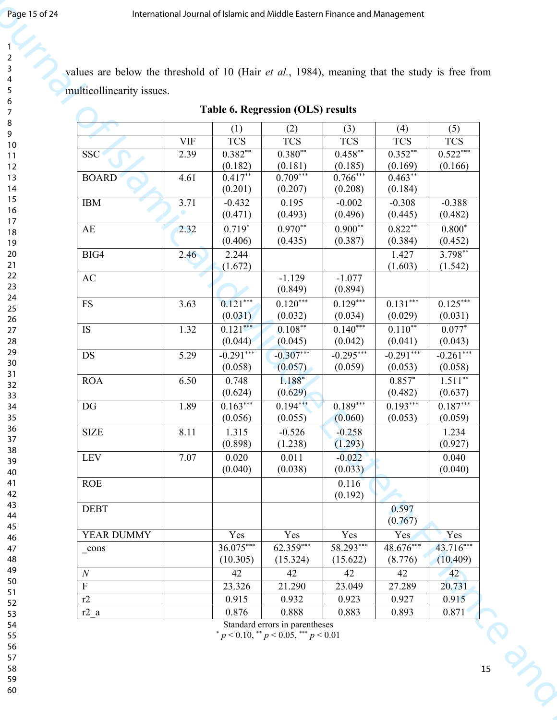| multicollinearity issues.                 |            |                       | Table 6. Regression (OLS) results |                       |                      |                       |
|-------------------------------------------|------------|-----------------------|-----------------------------------|-----------------------|----------------------|-----------------------|
|                                           |            | (1)                   | (2)                               | (3)                   | (4)                  | (5)                   |
|                                           | <b>VIF</b> | <b>TCS</b>            | <b>TCS</b>                        | <b>TCS</b>            | <b>TCS</b>           | <b>TCS</b>            |
| <b>SSC</b>                                | 2.39       | $0.382**$<br>(0.182)  | $0.380**$<br>(0.181)              | $0.458**$<br>(0.185)  | $0.352**$<br>(0.169) | $0.522***$<br>(0.166) |
| <b>BOARD</b>                              | 4.61       | $0.417**$             | $0.709***$                        | $0.766***$            | $0.463**$            |                       |
|                                           |            | (0.201)               | (0.207)                           | (0.208)               | (0.184)              |                       |
| IBM                                       | 3.71       | $-0.432$<br>(0.471)   | 0.195<br>(0.493)                  | $-0.002$<br>(0.496)   | $-0.308$<br>(0.445)  | $-0.388$<br>(0.482)   |
| AE                                        | 2.32       | $0.719*$              | $0.970**$                         | $0.900**$             | $0.822**$            | $0.800*$              |
| BIG4                                      | 2.46       | (0.406)<br>2.244      | (0.435)                           | (0.387)               | (0.384)<br>1.427     | (0.452)<br>$3.798***$ |
|                                           |            | (1.672)               |                                   |                       | (1.603)              | (1.542)               |
| AC                                        |            |                       | $-1.129$<br>(0.849)               | $-1.077$<br>(0.894)   |                      |                       |
| $\mathop{\text{FS}}$                      | 3.63       | $0.121***$            | $0.120***$                        | $0.129***$            | $0.131***$           | $0.125***$            |
|                                           |            | (0.031)               | (0.032)                           | (0.034)<br>$0.140***$ | (0.029)<br>$0.110**$ | (0.031)               |
| IS                                        | 1.32       | $0.121***$<br>(0.044) | $0.108**$<br>(0.045)              | (0.042)               | (0.041)              | $0.077*$<br>(0.043)   |
| DS                                        | 5.29       | $-0.291***$           | $-0.307***$                       | $-0.295***$           | $-0.291***$          | $-0.261***$           |
| <b>ROA</b>                                | 6.50       | (0.058)<br>0.748      | (0.057)<br>$1.188*$               | (0.059)               | (0.053)<br>$0.857*$  | (0.058)<br>$1.511***$ |
|                                           |            | (0.624)               | (0.629)                           |                       | (0.482)              | (0.637)               |
| DG                                        | 1.89       | $0.163***$            | $0.194***$                        | $0.189***$            | $0.193***$           | $0.187***$            |
| <b>SIZE</b>                               | 8.11       | (0.056)<br>1.315      | (0.055)<br>$-0.526$               | (0.060)<br>$-0.258$   | (0.053)              | (0.059)<br>1.234      |
|                                           |            | (0.898)               | (1.238)                           | (1.293)               |                      | (0.927)               |
| LEV                                       | 7.07       | 0.020<br>(0.040)      | 0.011<br>(0.038)                  | $-0.022$<br>(0.033)   |                      | 0.040<br>(0.040)      |
| ROE                                       |            |                       |                                   | 0.116                 |                      |                       |
|                                           |            |                       |                                   | (0.192)               |                      |                       |
| <b>DEBT</b>                               |            |                       |                                   |                       | 0.597<br>(0.767)     |                       |
| YEAR DUMMY                                |            | Yes                   | Yes                               | Yes                   | Yes                  | <b>Yes</b>            |
| $_{\rm cons}$                             |            | 36.075***             | 62.359***                         | 58.293***             | $48.676***$          | 43.716***             |
| $\cal N$                                  |            | (10.305)<br>42        | (15.324)<br>42                    | (15.622)<br>42        | (8.776)<br>42        | (10.409)<br>42        |
|                                           |            |                       |                                   |                       |                      |                       |
|                                           |            | 23.326                | 21.290                            | 23.049                | 27.289               | 20.731                |
| $\boldsymbol{\mathrm{F}}$<br>r2<br>$r2_a$ |            | 0.915<br>0.876        | 0.932<br>0.888                    | 0.923<br>0.883        | 0.927<br>0.893       | 0.915<br>0.871        |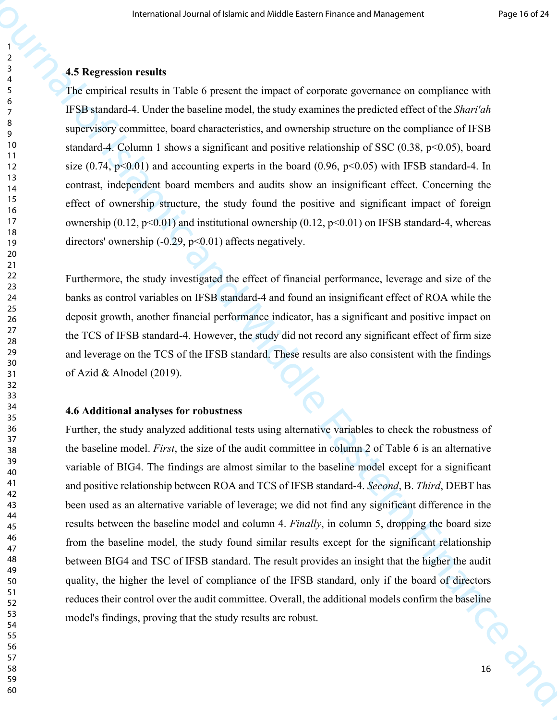# **4.5 Regression results** <sup>4</sup>

The empirical results in Table 6 present the impact of corporate governance on compliance with IFSB standard-4. Under the baseline model, the study examines the predicted effect of the *Shari'ah*  <sup>o</sup> supervisory committee, board characteristics, and ownership structure on the compliance of IFSB 10 standard-4. Column 1 shows a significant and positive relationship of SSC (0.38, p<0.05), board 11 size (0.74, p<0.01) and accounting experts in the board (0.96, p<0.05) with IFSB standard-4. In contrast, independent board members and audits show an insignificant effect. Concerning the <sup>15</sup>effect of ownership structure, the study found the positive and significant impact of foreign 17 ownership (0.12, p<0.01) and institutional ownership (0.12, p<0.01) on IFSB standard-4, whereas 19 directors' ownership (-0.29, p<0.01) affects negatively.

<sup>26</sup> deposit growth, another financial performance indicator, has a significant and positive impact on Furthermore, the study investigated the effect of financial performance, leverage and size of the 23 banks as control variables on IFSB standard-4 and found an insignificant effect of ROA while the <sup>27</sup>the TCS of IFSB standard-4. However, the study did not record any significant effect of firm size 29 and leverage on the TCS of the IFSB standard. These results are also consistent with the findings of Azid & Alnodel (2019).

### **4.6 Additional analyses for robustness**

The means of Lemma and Middle Eastern Finance and Middle Eastern Finance and The matrix of the Company of the Theorem Company of the Theorem Company of the Theorem Company and The matrix and Middle Eastern Finance and Man Further, the study analyzed additional tests using alternative variables to check the robustness of the baseline model. *First*, the size of the audit committee in column 2 of Table 6 is an alternative 39<br>variable of BIG4. The findings are almost similar to the baseline model except for a significant 41 and positive relationship between ROA and TCS of IFSB standard-4. *Second*, B. *Third*, DEBT has 42 been used as an alternative variable of leverage; we did not find any significant difference in the results between the baseline model and column 4. *Finally*, in column 5, dropping the board size <sup>46</sup> from the baseline model, the study found similar results except for the significant relationship between BIG4 and TSC of IFSB standard. The result provides an insight that the higher the audit quality, the higher the level of compliance of the IFSB standard, only if the board of directors  $\frac{51}{52}$  reduces their control over the audit committee. Overall, the additional models confirm the baseline 53 model's findings, proving that the study results are robust.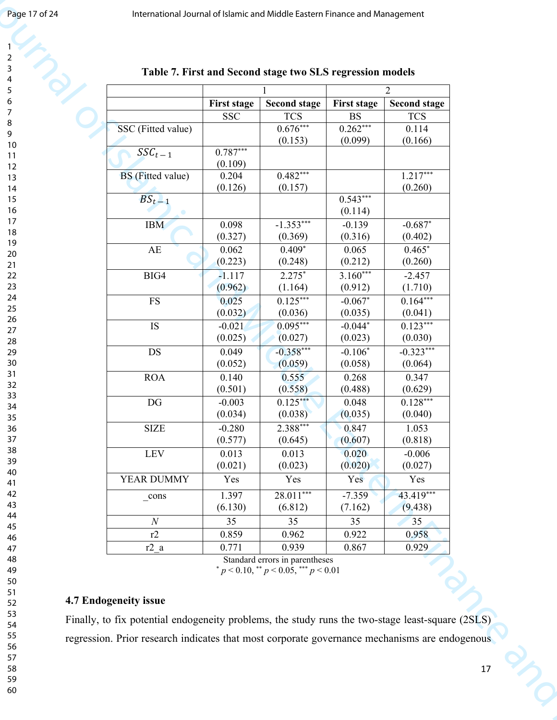| 2                              |  |
|--------------------------------|--|
|                                |  |
| 3                              |  |
|                                |  |
| 4                              |  |
|                                |  |
| 5                              |  |
|                                |  |
| 6                              |  |
|                                |  |
|                                |  |
| 8                              |  |
|                                |  |
| 9                              |  |
|                                |  |
| 10                             |  |
|                                |  |
| 1<br>$\mathbf{1}$              |  |
|                                |  |
| $\mathbf{1}$<br>$\overline{2}$ |  |
| 3<br>1                         |  |
|                                |  |
| 4<br>1                         |  |
|                                |  |
| 15                             |  |
|                                |  |
| 16                             |  |
| 1                              |  |
|                                |  |
| 18                             |  |
|                                |  |
| 19                             |  |
|                                |  |
| 20                             |  |
|                                |  |
| $\overline{21}$                |  |
| $^{22}$                        |  |
|                                |  |
| 23                             |  |
|                                |  |
| $^{24}$                        |  |
|                                |  |
| 25                             |  |
|                                |  |
| 26                             |  |
|                                |  |
| 27                             |  |
| 28                             |  |
|                                |  |
| 29                             |  |
|                                |  |
| 30                             |  |
|                                |  |
| 31                             |  |
| 32                             |  |
|                                |  |
| 33                             |  |
|                                |  |
| 34                             |  |
|                                |  |
| 35                             |  |
|                                |  |
| 36                             |  |
| 37                             |  |
|                                |  |
| 38                             |  |
|                                |  |
| 39                             |  |
|                                |  |
| 40                             |  |
| 41                             |  |
|                                |  |
| 42                             |  |
|                                |  |
| 43                             |  |
|                                |  |
| 44                             |  |
| 45                             |  |
|                                |  |
| 46                             |  |
|                                |  |
| 47                             |  |
|                                |  |
| 48                             |  |
| 49                             |  |
|                                |  |
| 50                             |  |
|                                |  |
| 51                             |  |
|                                |  |
| 52                             |  |
| 53                             |  |
|                                |  |
| 54                             |  |
|                                |  |
| 55                             |  |
|                                |  |
| 56                             |  |
| 57                             |  |
|                                |  |
| 58                             |  |
|                                |  |
| 59                             |  |
|                                |  |

|                          |                           | Table 7. First and Second stage two SLS regression models                   |                                 |                                        |
|--------------------------|---------------------------|-----------------------------------------------------------------------------|---------------------------------|----------------------------------------|
|                          | First stage<br><b>SSC</b> | <b>Second stage</b><br><b>TCS</b>                                           | <b>First stage</b><br><b>BS</b> | 2<br><b>Second stage</b><br><b>TCS</b> |
| SSC (Fitted value)       |                           | $0.676***$<br>(0.153)                                                       | $0.262***$<br>(0.099)           | 0.114<br>(0.166)                       |
| $\overline{SSC}_{t-1}$   | $0.787***$<br>(0.109)     |                                                                             |                                 |                                        |
| <b>BS</b> (Fitted value) | 0.204<br>(0.126)          | $0.482***$<br>(0.157)                                                       |                                 | $1.217***$<br>(0.260)                  |
| $BS_{t-1}$               |                           |                                                                             | $0.543***$<br>(0.114)           |                                        |
| <b>IBM</b>               | 0.098                     | $-1.353***$                                                                 | $-0.139$                        | $-0.687*$                              |
|                          | (0.327)                   | (0.369)                                                                     | (0.316)                         | (0.402)                                |
| AE                       | 0.062                     | $0.409*$                                                                    | 0.065                           | $0.465*$                               |
|                          | (0.223)                   | (0.248)                                                                     | (0.212)                         | (0.260)                                |
| $\rm BIG4$               | $-1.117$                  | $2.275*$                                                                    | $3.160***$                      | $-2.457$                               |
| <b>FS</b>                | (0.962)                   | (1.164)                                                                     | (0.912)                         | (1.710)                                |
|                          | 0.025                     | $0.125***$                                                                  | $-0.067*$                       | $0.164***$                             |
| $\operatorname{IS}$      | (0.032)                   | (0.036)                                                                     | (0.035)                         | (0.041)                                |
|                          | $-0.021$                  | $0.095***$                                                                  | $-0.044*$                       | $0.123***$                             |
|                          | (0.025)                   | (0.027)                                                                     | (0.023)                         | (0.030)                                |
| <b>DS</b>                | 0.049                     | $-0.358***$                                                                 | $-0.106*$                       | $-0.323***$                            |
|                          | (0.052)                   | (0.059)                                                                     | (0.058)                         | (0.064)                                |
| ROA                      | 0.140                     | 0.555                                                                       | 0.268                           | 0.347                                  |
|                          | (0.501)                   | (0.558)                                                                     | (0.488)                         | (0.629)                                |
| DG                       | $-0.003$                  | $0.125***$                                                                  | 0.048                           | $0.128***$                             |
|                          | (0.034)                   | (0.038)                                                                     | (0.035)                         | (0.040)                                |
| <b>SIZE</b>              | $-0.280$                  | $2.388***$                                                                  | 0.847                           | 1.053                                  |
| LEV                      | (0.577)                   | (0.645)                                                                     | (0.607)                         | (0.818)                                |
|                          | 0.013                     | 0.013                                                                       | 0.020                           | $-0.006$                               |
| YEAR DUMMY               | (0.021)                   | (0.023)                                                                     | (0.020)                         | (0.027)                                |
|                          | Yes                       | Yes                                                                         | Yes                             | Yes                                    |
| $\_cons$                 | 1.397                     | $28.011***$                                                                 | $-7.359$                        | 43.419***                              |
| $\cal N$                 | (6.130)                   | (6.812)                                                                     | (7.162)                         | (9.438)                                |
|                          | 35                        | 35                                                                          | $\overline{35}$                 | 35                                     |
| r2                       | 0.859                     | 0.962                                                                       | 0.922                           | 0.958                                  |
| $r2_a$                   | 0.771                     | 0.939                                                                       | 0.867                           | 0.929                                  |
|                          |                           | Standard errors in parentheses<br>$p < 0.10,$ ** $p < 0.05,$ *** $p < 0.01$ |                                 | $\mathcal{Q}_{\lambda}$                |

### **4.7 Endogeneity issue**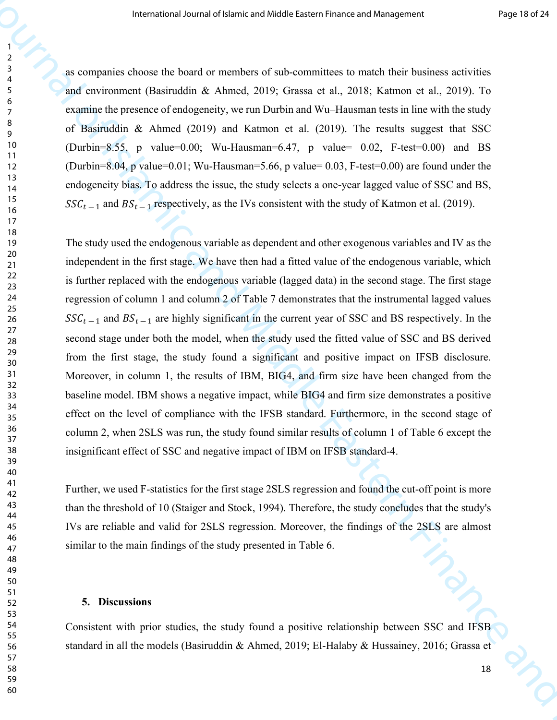(Durbin=8.55, p value=0.00; Wu-Hausman=6.47, p value= 0.02, F-test=0.00) and BS as companies choose the board or members of sub-committees to match their business activities <sup>4</sup> and environment (Basiruddin & Ahmed, 2019; Grassa et al., 2018; Katmon et al., 2019). To <sup>7</sup> examine the presence of endogeneity, we run Durbin and Wu–Hausman tests in line with the study  $\frac{1}{9}$  of Basiruddin & Ahmed (2019) and Katmon et al. (2019). The results suggest that SSC (Durbin=8.04, p value=0.01; Wu-Hausman=5.66, p value= 0.03, F-test=0.00) are found under the endogeneity bias. To address the issue, the study selects a one-year lagged value of SSC and BS,  $SSC_{t-1}$  and  $BS_{t-1}$  respectively, as the IVs consistent with the study of Katmon et al. (2019).

 $\frac{21}{21}$  independent in the first stage. We have then had a fitted value of the endogenous variable, which regression of column 1 and column 2 of Table 7 demonstrates that the instrumental lagged values 26 SSC<sub>t-1</sub> and  $BS_{t-1}$  are highly significant in the current year of SSC and BS respectively. In the The means of Lemma of Middle Eastern Finance and Middle Eastern Finance and The means of the means of the control of the means of  $\frac{1}{2}$  and methods of Finance and Middle A. Almond, 2019), To control and Middle Eastern The study used the endogenous variable as dependent and other exogenous variables and IV as the  $\frac{22}{23}$  is further replaced with the endogenous variable (lagged data) in the second stage. The first stage second stage under both the model, when the study used the fitted value of SSC and BS derived from the first stage, the study found a significant and positive impact on IFSB disclosure. Moreover, in column 1, the results of IBM, BIG4, and firm size have been changed from the baseline model. IBM shows a negative impact, while BIG4 and firm size demonstrates a positive  $\frac{34}{35}$  effect on the level of compliance with the IFSB standard. Furthermore, in the second stage of 36 column 2, when 2SLS was run, the study found similar results of column 1 of Table 6 except the insignificant effect of SSC and negative impact of IBM on IFSB standard-4.

Further, we used F-statistics for the first stage 2SLS regression and found the cut-off point is more than the threshold of 10 (Staiger and Stock, 1994). Therefore, the study concludes that the study's 44 IVs are reliable and valid for 2SLS regression. Moreover, the findings of the 2SLS are almost  $\frac{1}{47}$  similar to the main findings of the study presented in Table 6.

#### **5. Discussions**

Consistent with prior studies, the study found a positive relationship between SSC and IFSB standard in all the models (Basiruddin & Ahmed, 2019; El-Halaby & Hussainey, 2016; Grassa et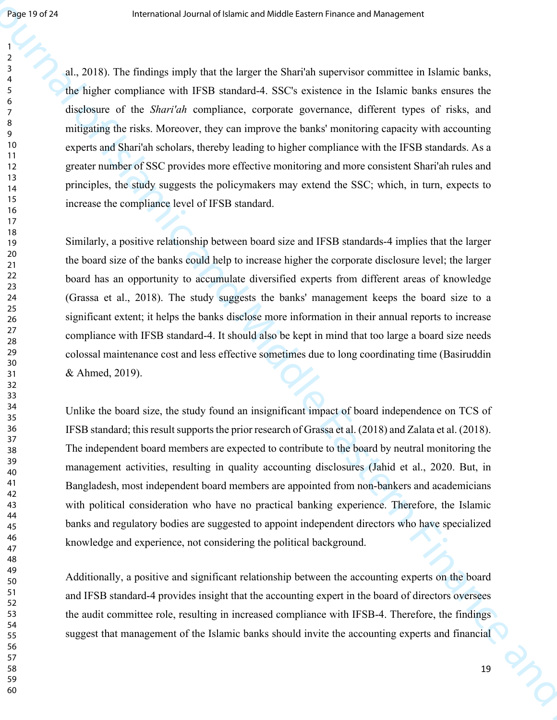al., 2018). The findings imply that the larger the Shari'ah supervisor committee in Islamic banks, <sup>4</sup> the higher compliance with IFSB standard-4. SSC's existence in the Islamic banks ensures the disclosure of the *Shari'ah* compliance, corporate governance, different types of risks, and  $\frac{9}{9}$  mitigating the risks. Moreover, they can improve the banks' monitoring capacity with accounting experts and Shari'ah scholars, thereby leading to higher compliance with the IFSB standards. As a greater number of SSC provides more effective monitoring and more consistent Shari'ah rules and principles, the study suggests the policymakers may extend the SSC; which, in turn, expects to is increase the compliance level of IFSB standard.

the board size of the banks could help to increase higher the corporate disclosure level; the larger **Example of 22**<br>
International and Middle Eastern Finance and Middle Eastern Finance and Theoretical Andre Eastern Finance and The Theoretical SSC's existence in the Uniteric Eastern Finance and Schemes with ITSH annother Similarly, a positive relationship between board size and IFSB standards-4 implies that the larger 22 board has an opportunity to accumulate diversified experts from different areas of knowledge (Grassa et al., 2018). The study suggests the banks' management keeps the board size to a significant extent; it helps the banks disclose more information in their annual reports to increase 27 compliance with IFSB standard-4. It should also be kept in mind that too large a board size needs colossal maintenance cost and less effective sometimes due to long coordinating time (Basiruddin & Ahmed, 2019).

 IFSB standard; this result supports the prior research of Grassa et al. (2018) and Zalata et al. (2018).  $\frac{34}{12}$  Unlike the board size, the study found an insignificant impact of board independence on TCS of The independent board members are expected to contribute to the board by neutral monitoring the management activities, resulting in quality accounting disclosures (Jahid et al., 2020. But, in 41 Bangladesh, most independent board members are appointed from non-bankers and academicians 42 with political consideration who have no practical banking experience. Therefore, the Islamic banks and regulatory bodies are suggested to appoint independent directors who have specialized <sup>40</sup>knowledge and experience, not considering the political background.

 $\frac{49}{50}$  Additionally, a positive and significant relationship between the accounting experts on the board 51 and IFSB standard-4 provides insight that the accounting expert in the board of directors oversees the audit committee role, resulting in increased compliance with IFSB-4. Therefore, the findings suggest that management of the Islamic banks should invite the accounting experts and financial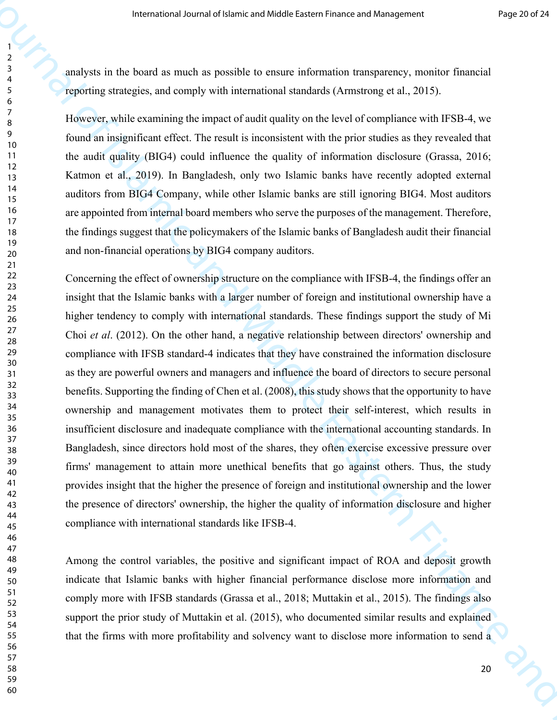analysts in the board as much as possible to ensure information transparency, monitor financial <sup>4</sup> reporting strategies, and comply with international standards (Armstrong et al., 2015).

11 the audit quality (BIG4) could influence the quality of information disclosure (Grassa, 2016;  $\frac{7}{8}$  However, while examining the impact of audit quality on the level of compliance with IFSB-4, we <sup>9</sup> found an insignificant effect. The result is inconsistent with the prior studies as they revealed that Katmon et al., 2019). In Bangladesh, only two Islamic banks have recently adopted external 14<br>auditors from BIG4 Company, while other Islamic banks are still ignoring BIG4. Most auditors 16 are appointed from internal board members who serve the purposes of the management. Therefore, 17 the findings suggest that the policymakers of the Islamic banks of Bangladesh audit their financial and non-financial operations by BIG4 company auditors.

 insight that the Islamic banks with a larger number of foreign and institutional ownership have a <sup>25</sup>higher tendency to comply with international standards. These findings support the study of Mi <sup>39</sup> firms' management to attain more unethical benefits that go against others. Thus, the study The means of Lieute is sole and Middle Leason where and Finance means and The Constraint Constraint Constraint Constraint Constraint Constraint Constraint Constraint Constraint Constraint Constraint Constraint Constraint 22 Concerning the effect of ownership structure on the compliance with IFSB-4, the findings offer an 23 27 Choi *et al.* (2012). On the other hand, a negative relationship between directors' ownership and 28 compliance with IFSB standard-4 indicates that they have constrained the information disclosure as they are powerful owners and managers and influence the board of directors to secure personal  $\frac{32}{33}$  benefits. Supporting the finding of Chen et al. (2008), this study shows that the opportunity to have <sup>34</sup> ownership and management motivates them to protect their self-interest, which results in insufficient disclosure and inadequate compliance with the international accounting standards. In Bangladesh, since directors hold most of the shares, they often exercise excessive pressure over 41 provides insight that the higher the presence of foreign and institutional ownership and the lower 42 the presence of directors' ownership, the higher the quality of information disclosure and higher compliance with international standards like IFSB-4.

 Among the control variables, the positive and significant impact of ROA and deposit growth indicate that Islamic banks with higher financial performance disclose more information and 5<sup>1</sup>comply more with IFSB standards (Grassa et al., 2018; Muttakin et al., 2015). The findings also 53 support the prior study of Muttakin et al. (2015), who documented similar results and explained 54 that the firms with more profitability and solvency want to disclose more information to send a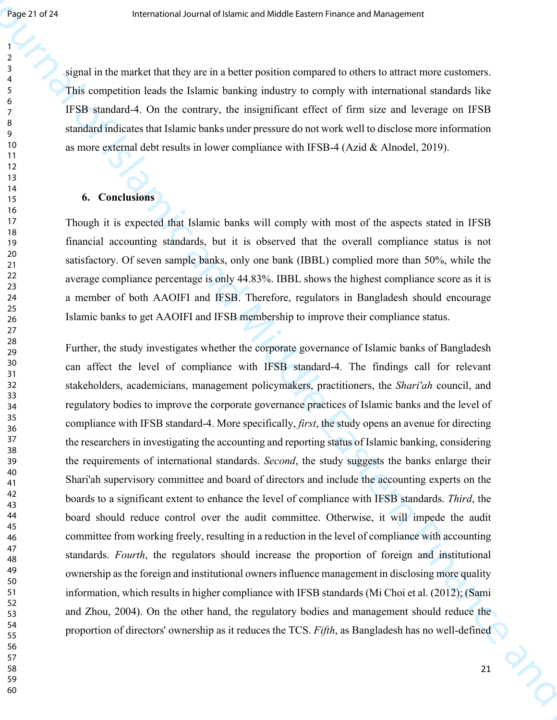<sup>3</sup> signal in the market that they are in a better position compared to others to attract more customers. This competition leads the Islamic banking industry to comply with international standards like IFSB standard-4. On the contrary, the insignificant effect of firm size and leverage on IFSB standard indicates that Islamic banks under pressure do not work well to disclose more information as more external debt results in lower compliance with IFSB-4 (Azid & Alnodel, 2019).

#### **6. Conclusions**

Though it is expected that Islamic banks will comply with most of the aspects stated in IFSB financial accounting standards, but it is observed that the overall compliance status is not satisfactory. Of seven sample banks, only one bank (IBBL) complied more than 50%, while the 22 average compliance percentage is only 44.83%. IBBL shows the highest compliance score as it is a member of both AAOIFI and IFSB. Therefore, regulators in Bangladesh should encourage 26 Islamic banks to get AAOIFI and IFSB membership to improve their compliance status.

<sup>42</sup>boards to a significant extent to enhance the level of compliance with IFSB standards. *Third*, the **Exact 21** details are internet to the latter that the same product correspondent to the same product and the same product and the same product and  $\frac{1}{2}$  and  $\frac{1}{2}$  and  $\frac{1}{2}$  and  $\frac{1}{2}$  and  $\frac{1}{2}$  and  $\$ <sup>28</sup> Further, the study investigates whether the corporate governance of Islamic banks of Bangladesh <sup>30</sup> can affect the level of compliance with IFSB standard-4. The findings call for relevant stakeholders, academicians, management policymakers, practitioners, the *Shari'ah* council, and regulatory bodies to improve the corporate governance practices of Islamic banks and the level of compliance with IFSB standard-4. More specifically, *first*, the study opens an avenue for directing 37 the researchers in investigating the accounting and reporting status of Islamic banking, considering 38 the requirements of international standards. *Second*, the study suggests the banks enlarge their  $\frac{1}{41}$  Shari'ah supervisory committee and board of directors and include the accounting experts on the board should reduce control over the audit committee. Otherwise, it will impede the audit committee from working freely, resulting in a reduction in the level of compliance with accounting 47 standards. *Fourth*, the regulators should increase the proportion of foreign and institutional <sup>49</sup> ownership as the foreign and institutional owners influence management in disclosing more quality information, which results in higher compliance with IFSB standards (Mi Choi et al. (2012); (Sami and Zhou, 2004). On the other hand, the regulatory bodies and management should reduce the proportion of directors' ownership as it reduces the TCS. *Fifth*, as Bangladesh has no well-defined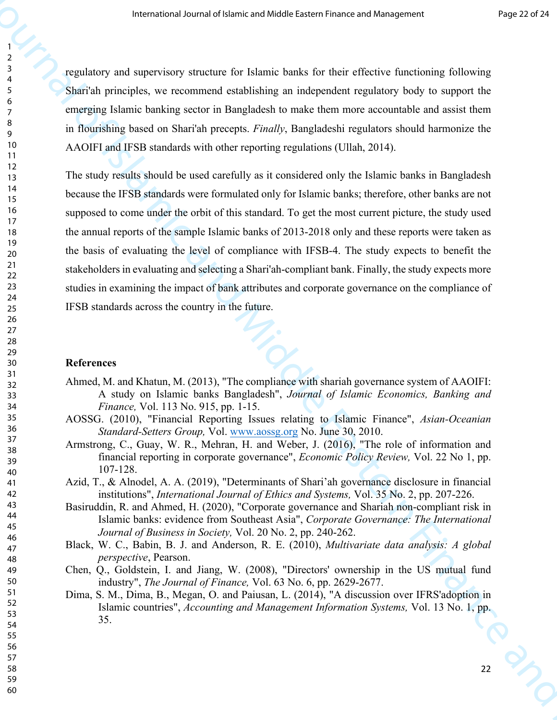<sup>3</sup><sup>3</sup> regulatory and supervisory structure for Islamic banks for their effective functioning following Shari'ah principles, we recommend establishing an independent regulatory body to support the <sup>7</sup> emerging Islamic banking sector in Bangladesh to make them more accountable and assist them <sup>9</sup> in flourishing based on Shari'ah precepts. *Finally*, Bangladeshi regulators should harmonize the 10 AAOIFI and IFSB standards with other reporting regulations (Ullah, 2014).

Frame the other is a statistical velocity of the selective procedure is a statistical policies of the selective procedure and statistical policies are international of the selective procedure and Middle Eastern Finance an 16 supposed to come under the orbit of this standard. To get the most current picture, the study used 17 The study results should be used carefully as it considered only the Islamic banks in Bangladesh 14<br>because the IFSB standards were formulated only for Islamic banks; therefore, other banks are not 18 the annual reports of the sample Islamic banks of 2013-2018 only and these reports were taken as the basis of evaluating the level of compliance with IFSB-4. The study expects to benefit the <sup>21</sup> stakeholders in evaluating and selecting a Shari'ah-compliant bank. Finally, the study expects more studies in examining the impact of bank attributes and corporate governance on the compliance of IFSB standards across the country in the future.

#### **References**

- <sup>21</sup><sub>32</sub> Ahmed, M. and Khatun, M. (2013), "The compliance with shariah governance system of AAOIFI: A study on Islamic banks Bangladesh", *Journal of Islamic Economics, Banking and Finance,* Vol. 113 No. 915, pp. 1-15.
- AOSSG. (2010), "Financial Reporting Issues relating to Islamic Finance", *Asian-Oceanian Standard-Setters Group,* Vol. www.aossg.org No. June 30, 2010. <sup>37</sup>
- $\frac{33}{38}$  Armstrong, C., Guay, W. R., Mehran, H. and Weber, J. (2016), "The role of information and financial reporting in corporate governance", *Economic Policy Review,* Vol. 22 No 1, pp. 107-128.
- Azid, T., & Alnodel, A. A. (2019), "Determinants of Shari'ah governance disclosure in financial institutions", *International Journal of Ethics and Systems,* Vol. 35 No. 2, pp. 207-226.
- Islamic banks: evidence from Southeast Asia", Corporate Governance: The International Basiruddin, R. and Ahmed, H. (2020), "Corporate governance and Shariah non-compliant risk in 44 Islamic banks: evidence from Southeast Asia", *Corporate Governance: The International Journal of Business in Society,* Vol. 20 No. 2, pp. 240-262.
- Black, W. C., Babin, B. J. and Anderson, R. E. (2010), *Multivariate data analysis: A global perspective*, Pearson.
- Chen, Q., Goldstein, I. and Jiang, W. (2008), "Directors' ownership in the US mutual fund industry", *The Journal of Finance,* Vol. 63 No. 6, pp. 2629-2677.
- 51 Dima, S. M., Dima, B., Megan, O. and Paiusan, L. (2014), "A discussion over IFRS'adoption in Islamic countries", *Accounting and Management Information Systems*, Vol. 13 No. 1, pp. 35. 55<br>55<br>55<br>57 32 35. 54<br>57 35. 54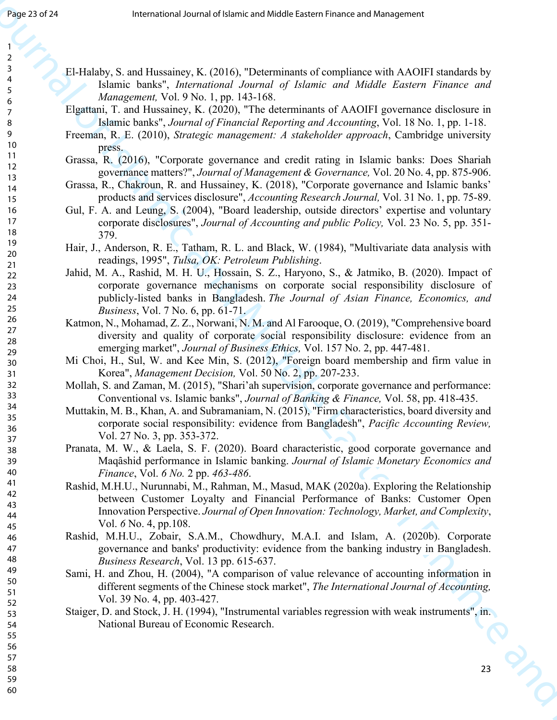<sup>3</sup><br>El-Halaby, S. and Hussainey, K. (2016), "Determinants of compliance with AAOIFI standards by<br>Islamic banks", *International Journal of Islamic and Middle Eastern Finance and Management, Vol. 9 No. 1, pp. 143-168.* 

- Elgattani, T. and Hussainey, K. (2020), "The determinants of AAOIFI governance disclosure in Islamic banks", *Journal of Financial Reporting and Accounting*, Vol. 18 No. 1, pp. 1-18.
- Freeman, R. E. (2010), *Strategic management: A stakeholder approach*, Cambridge university
- press.<br>
11 Grassa, R. (2016), "Corporate governance and credit rating in Islamic banks: Does Shariah 12 12 governance matters?", *Journal of Management & Governance*, Vol. 20 No. 4, pp. 875-906.
- Grassa, R., Chakroun, R. and Hussainey, K. (2018), "Corporate governance and Islamic banks' products and services disclosure", *Accounting Research Journal,* Vol. 31 No. 1, pp. 75-89.
- Gul, F. A. and Leung, S. (2004), "Board leadership, outside directors' expertise and voluntary corporate disclosures", *Journal of Accounting and public Policy,* Vol. 23 No. 5, pp. 351- <sup>18</sup>379.
- Hair, J., Anderson, R. E., Tatham, R. L. and Black, W. (1984), "Multivariate data analysis with readings, 1995", *Tulsa, OK: Petroleum Publishing*.
- 22 Jahid, M. A., Rashid, M. H. U., Hossain, S. Z., Haryono, S., & Jatmiko, B. (2020). Impact of corporate governance mechanisms on corporate social responsibility disclosure of publicly-listed banks in Bangladesh. *The Journal of Asian Finance, Economics, and Business*, Vol. 7 No. 6, pp. 61-71.
- 26<br>
27 Katmon, N., Mohamad, Z. Z., Norwani, N. M. and Al Farooque, O. (2019), "Comprehensive board<br>
28 diversity and quality of corporate social responsibility disclosure: evidence from an<br>
29 emerging market", Journal of
- Mi Choi, H., Sul, W. and Kee Min, S. (2012), "Foreign board membership and firm value in Korea", *Management Decision,* Vol. 50 No. 2, pp. 207-233.
- 32 Mollah, S. and Zaman, M. (2015), "Shari'ah supervision, corporate governance and performance:<br>33 Conventional vs. Islamic banks" *Journal of Banking & Finance* Vol. 58 pp. 418-435 <sup>33</sup> Conventional vs. Islamic banks", *Journal of Banking & Finance*, Vol. 58, pp. 418-435.<br><sup>34</sup> Muttakin, M. B., Khan, A. and Subramaniam, N. (2015), "Firm characteristics, board diversity and
- corporate social responsibility: evidence from Bangladesh", *Pacific Accounting Review,*  vol. 27 No. 3, pp. 353-372.
- Pranata, M. W., & Laela, S. F. (2020). Board characteristic, good corporate governance and Maqȃshid performance in Islamic banking. *Journal of Islamic Monetary Economics and*
- **Example 31**<br> **Example 26 Cancel And Constructional of complete exist And Cancel And Cancel And Cancel And Cancel And Cancel And Cancel And Cancel And Cancel And Cancel And Cancel And Cancel And Cancel And Cancel And Ca** <sup>45</sup><br>
44 **Innovation Perspective**. *Journal of Open Innovation: Technology, Market, and Complexity*, *Finance*, Vol. *6 No.* 2 pp. *463-486*.<br>
41 Rashid, M.H.U., Nurunnabi, M., Rahman, M., Masud, MAK (2020a). Exploring the Relationship<br>
42 Actuacy Customan, Laughty and Financial Performance of Perksi Customan Open <sup>42</sup> between Customer Loyalty and Financial Performance of Banks: Customer Open Vol. *6* No. 4, pp.108.
	- Rashid, M.H.U., Zobair, S.A.M., Chowdhury, M.A.I. and Islam, A. (2020b). Corporate governance and banks' productivity: evidence from the banking industry in Bangladesh. *Business Research*, Vol. 13 pp. 615-637.
	- Sami, H. and Zhou, H. (2004), "A comparison of value relevance of accounting information in 50 different segments of the Chinese stock market", *The International Journal of Accounting*, Vol. 39 No. 4, pp. 403-427.
	- 53 Staiger, D. and Stock, J. H. (1994), "Instrumental variables regression with weak instruments", in. National Bureau of Economic Research.